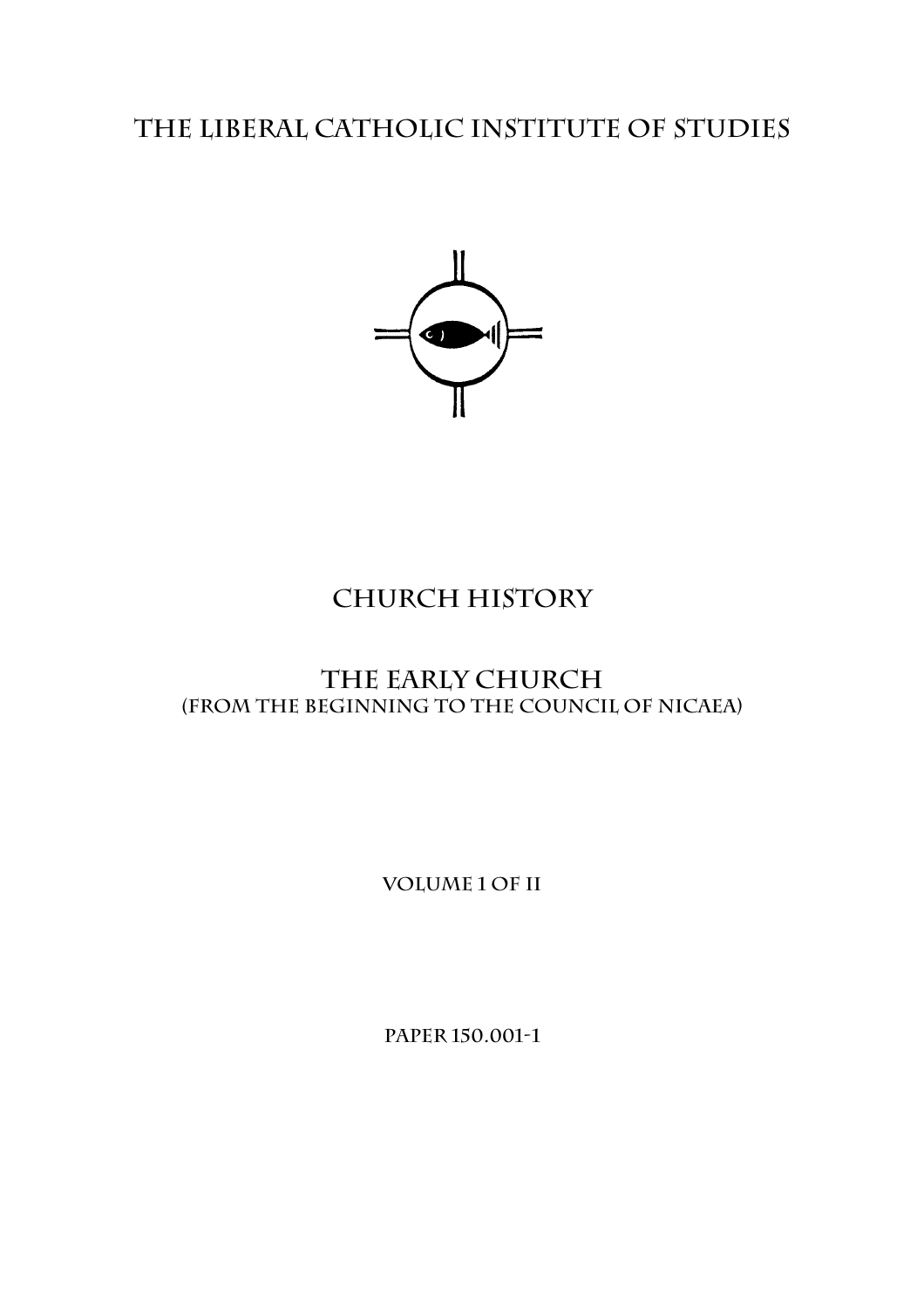# **The Liberal catholic Institute of Studies**



# **Church History**

# **The Early Church (From the beginning to the Council of Nicaea)**

**Volume 1 of II** 

**Paper 150.001-1**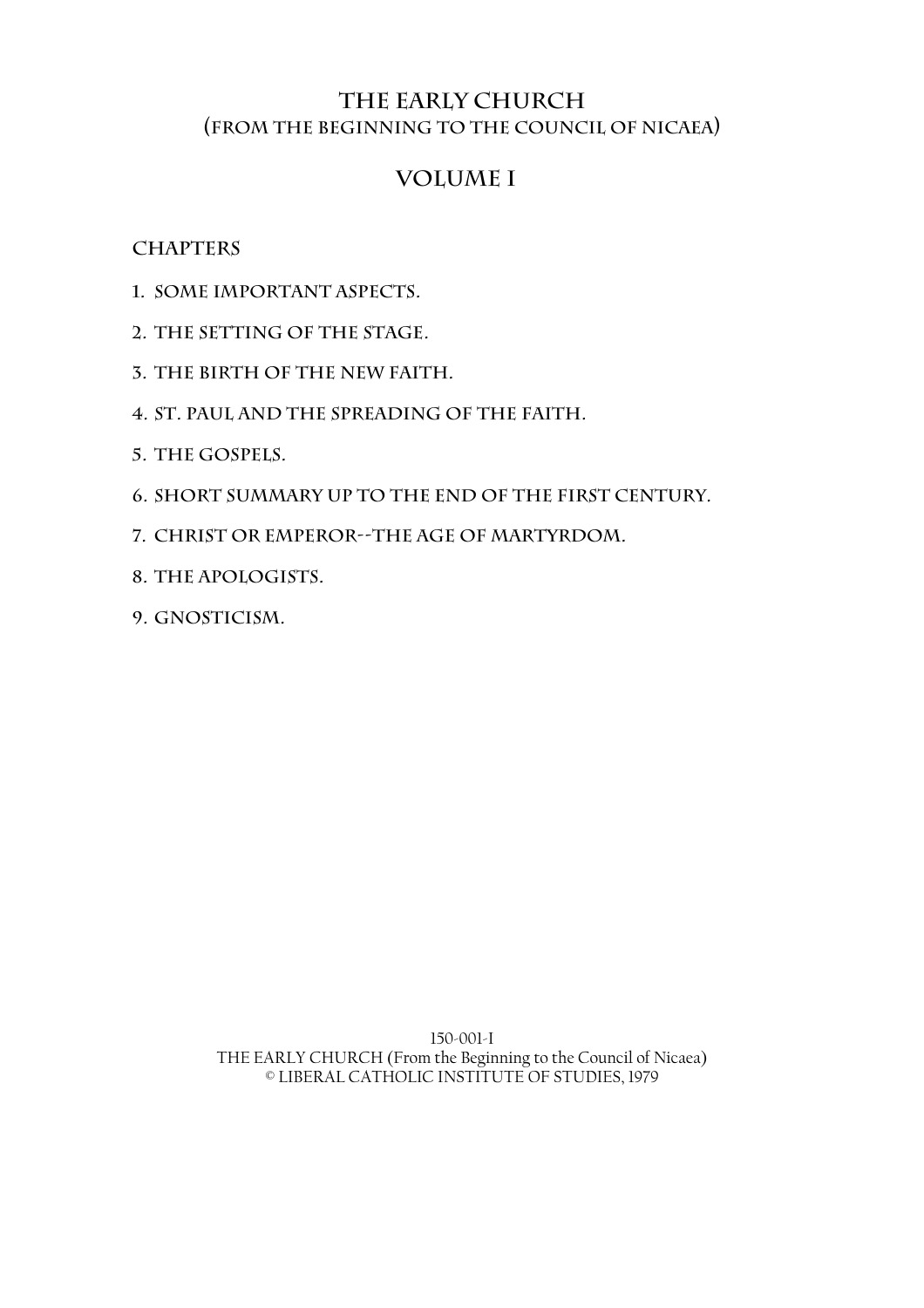### **THE EARLY CHURCH (From the Beginning to the Council of Nicaea)**

## **Volume I**

### **Chapters**

- **1. Some Important Aspects.**
- **2. The Setting of the Stage.**
- **3. The Birth of the New Faith.**
- **4. St. Paul and the Spreading of the Faith.**
- **5. The Gospels.**
- **6. Short Summary Up to the End of the First Century.**
- **7. Christ or Emperor--The Age of Martyrdom.**
- **8. The Apologists.**
- **9. Gnosticism.**

150-001-I THE EARLY CHURCH (From the Beginning to the Council of Nicaea) © LIBERAL CATHOLIC INSTITUTE OF STUDIES, 1979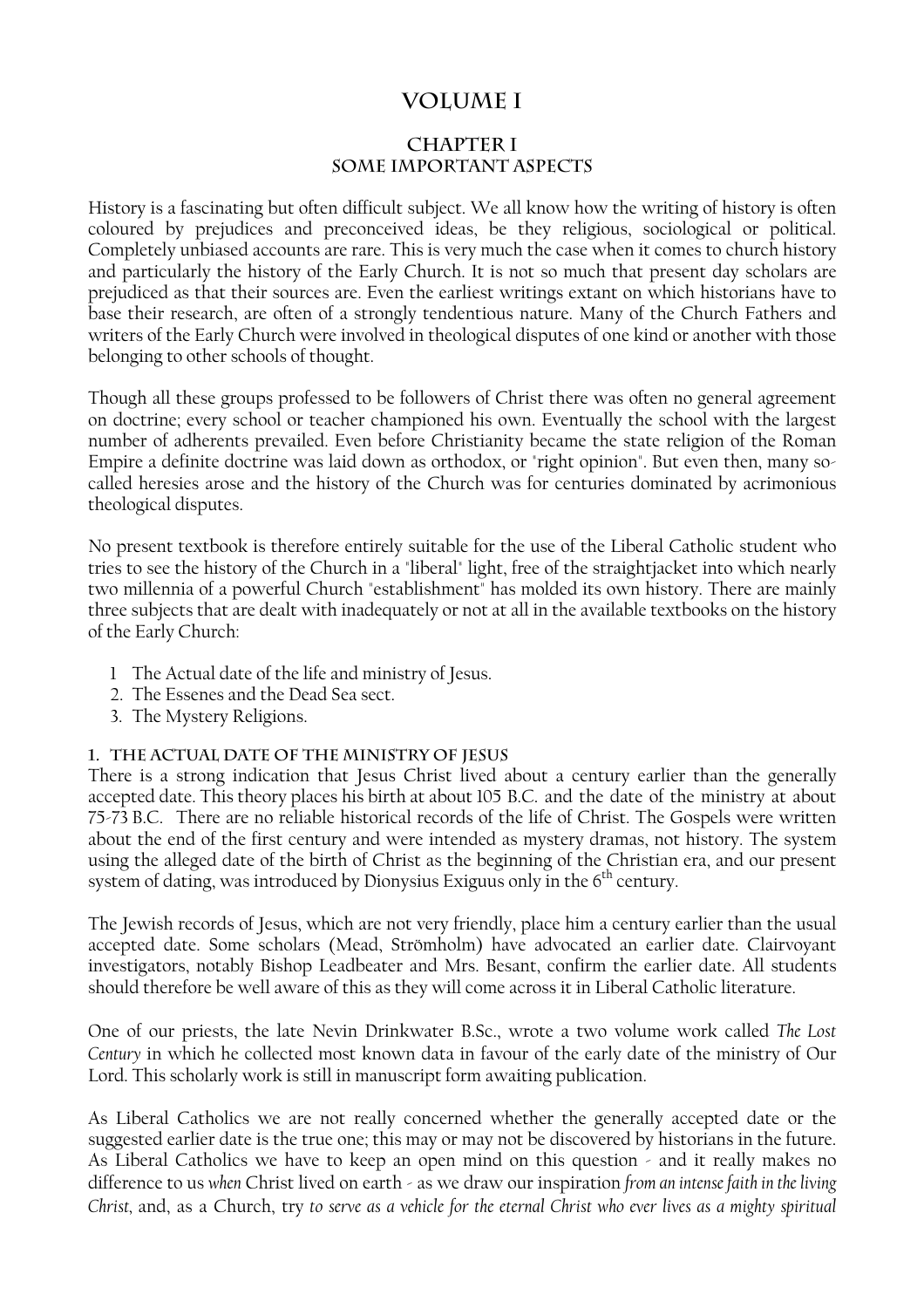## **volume I**

#### **CHAPTER I SOME IMPORTANT ASPECTS**

History is a fascinating but often difficult subject. We all know how the writing of history is often coloured by prejudices and preconceived ideas, be they religious, sociological or political. Completely unbiased accounts are rare. This is very much the case when it comes to church history and particularly the history of the Early Church. It is not so much that present day scholars are prejudiced as that their sources are. Even the earliest writings extant on which historians have to base their research, are often of a strongly tendentious nature. Many of the Church Fathers and writers of the Early Church were involved in theological disputes of one kind or another with those belonging to other schools of thought.

Though all these groups professed to be followers of Christ there was often no general agreement on doctrine; every school or teacher championed his own. Eventually the school with the largest number of adherents prevailed. Even before Christianity became the state religion of the Roman Empire a definite doctrine was laid down as orthodox, or "right opinion". But even then, many socalled heresies arose and the history of the Church was for centuries dominated by acrimonious theological disputes.

No present textbook is therefore entirely suitable for the use of the Liberal Catholic student who tries to see the history of the Church in a "liberal" light, free of the straightjacket into which nearly two millennia of a powerful Church "establishment" has molded its own history. There are mainly three subjects that are dealt with inadequately or not at all in the available textbooks on the history of the Early Church:

- 1 The Actual date of the life and ministry of Jesus.
- 2. The Essenes and the Dead Sea sect.
- 3. The Mystery Religions.

#### **1. The Actual Date of the Ministry of Jesus**

There is a strong indication that Jesus Christ lived about a century earlier than the generally accepted date. This theory places his birth at about 105 B.C. and the date of the ministry at about 75-73 B.C. There are no reliable historical records of the life of Christ. The Gospels were written about the end of the first century and were intended as mystery dramas, not history. The system using the alleged date of the birth of Christ as the beginning of the Christian era, and our present system of dating, was introduced by Dionysius Exiguus only in the 6<sup>th</sup> century.

The Jewish records of Jesus, which are not very friendly, place him a century earlier than the usual accepted date. Some scholars (Mead, Strömholm) have advocated an earlier date. Clairvoyant investigators, notably Bishop Leadbeater and Mrs. Besant, confirm the earlier date. All students should therefore be well aware of this as they will come across it in Liberal Catholic literature.

One of our priests, the late Nevin Drinkwater B.Sc., wrote a two volume work called *The Lost Century* in which he collected most known data in favour of the early date of the ministry of Our Lord. This scholarly work is still in manuscript form awaiting publication.

As Liberal Catholics we are not really concerned whether the generally accepted date or the suggested earlier date is the true one; this may or may not be discovered by historians in the future. As Liberal Catholics we have to keep an open mind on this question - and it really makes no difference to us *when* Christ lived on earth - as we draw our inspiration *from an intense faith in the living Christ,* and, as a Church, try *to serve as a vehicle for the eternal Christ who ever lives as a mighty spiritual*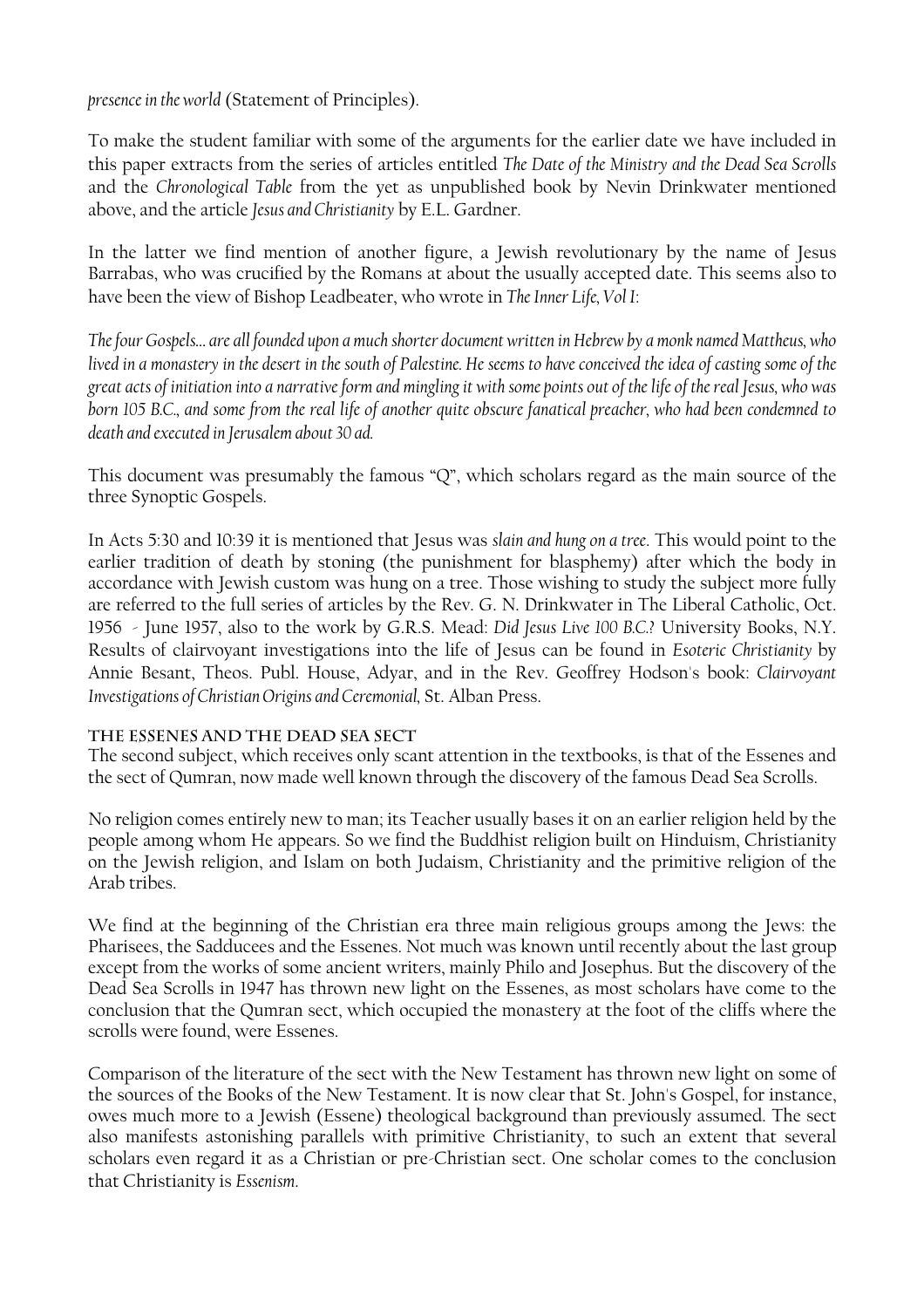*presence in the world* (Statement of Principles).

To make the student familiar with some of the arguments for the earlier date we have included in this paper extracts from the series of articles entitled *The Date of the Ministry and the Dead Sea Scrolls* and the *Chronological Table* from the yet as unpublished book by Nevin Drinkwater mentioned above, and the article *Jesus and Christianity* by E.L. Gardner.

In the latter we find mention of another figure, a Jewish revolutionary by the name of Jesus Barrabas, who was crucified by the Romans at about the usually accepted date. This seems also to have been the view of Bishop Leadbeater, who wrote in *The Inner Life, Vol I*:

*The four Gospels… are all founded upon a much shorter document written in Hebrew by a monk named Mattheus, who lived in a monastery in the desert in the south of Palestine. He seems to have conceived the idea of casting some of the great acts of initiation into a narrative form and mingling it with some points out of the life of the real Jesus, who was born 105 B.C., and some from the real life of another quite obscure fanatical preacher, who had been condemned to death and executed in Jerusalem about 30 ad.* 

This document was presumably the famous "Q", which scholars regard as the main source of the three Synoptic Gospels.

In Acts 5:30 and 10:39 it is mentioned that Jesus was *slain and hung on a tree*. This would point to the earlier tradition of death by stoning (the punishment for blasphemy) after which the body in accordance with Jewish custom was hung on a tree. Those wishing to study the subject more fully are referred to the full series of articles by the Rev. G. N. Drinkwater in The Liberal Catholic, Oct. 1956 - June 1957, also to the work by G.R.S. Mead: *Did Jesus Live 100 B.C.?* University Books, N.Y. Results of clairvoyant investigations into the life of Jesus can be found in *Esoteric Christianity* by Annie Besant, Theos. Publ. House, Adyar, and in the Rev. Geoffrey Hodson's book: *Clairvoyant Investigations of Christian Origins and Ceremonial,* St. Alban Press.

#### **The Essenes and the Dead Sea Sect**

The second subject, which receives only scant attention in the textbooks, is that of the Essenes and the sect of Qumran, now made well known through the discovery of the famous Dead Sea Scrolls.

No religion comes entirely new to man; its Teacher usually bases it on an earlier religion held by the people among whom He appears. So we find the Buddhist religion built on Hinduism, Christianity on the Jewish religion, and Islam on both Judaism, Christianity and the primitive religion of the Arab tribes.

We find at the beginning of the Christian era three main religious groups among the Jews: the Pharisees, the Sadducees and the Essenes. Not much was known until recently about the last group except from the works of some ancient writers, mainly Philo and Josephus. But the discovery of the Dead Sea Scrolls in 1947 has thrown new light on the Essenes, as most scholars have come to the conclusion that the Qumran sect, which occupied the monastery at the foot of the cliffs where the scrolls were found, were Essenes.

Comparison of the literature of the sect with the New Testament has thrown new light on some of the sources of the Books of the New Testament. It is now clear that St. John's Gospel, for instance, owes much more to a Jewish (Essene) theological background than previously assumed. The sect also manifests astonishing parallels with primitive Christianity, to such an extent that several scholars even regard it as a Christian or pre-Christian sect. One scholar comes to the conclusion that Christianity is *Essenism*.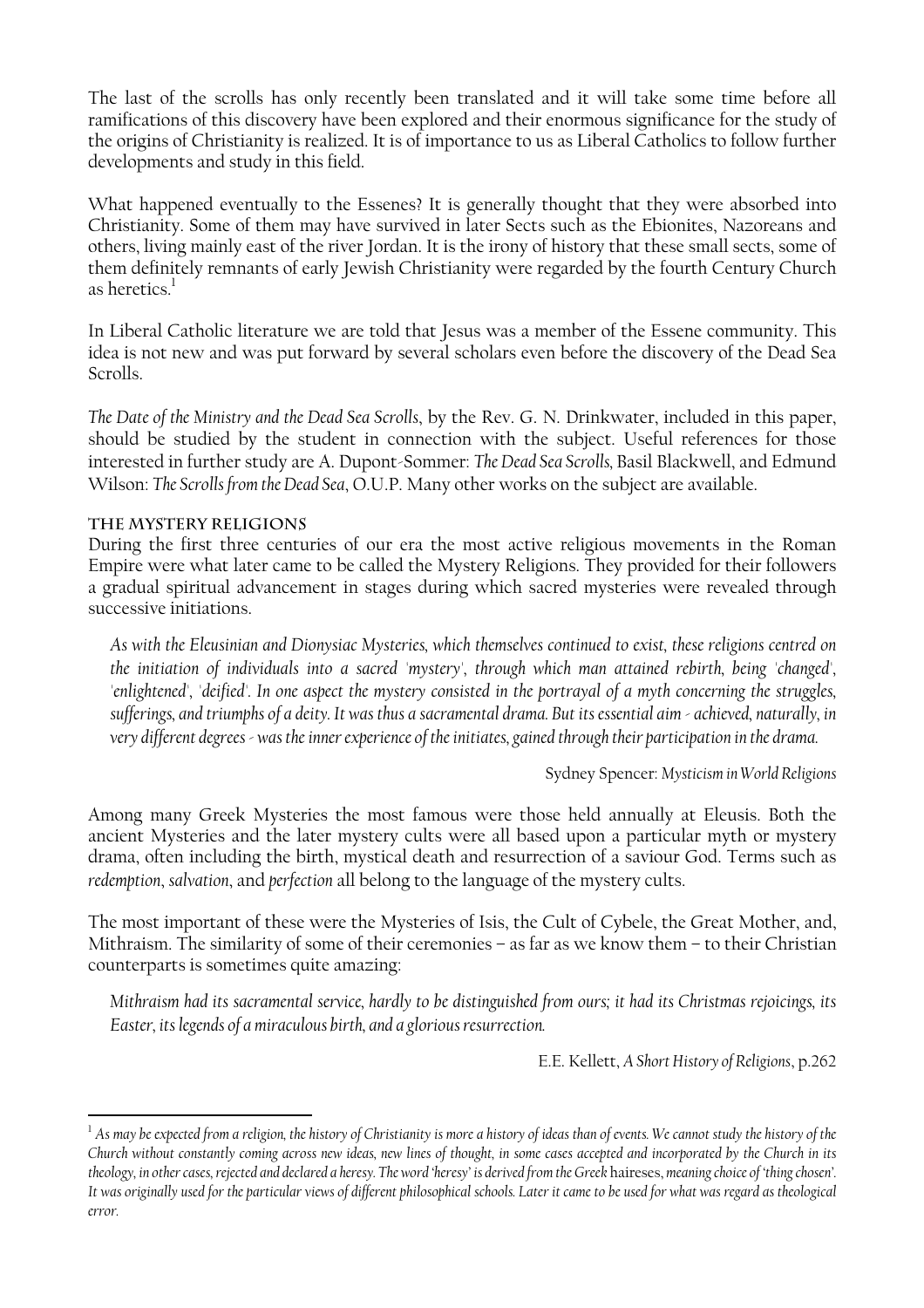The last of the scrolls has only recently been translated and it will take some time before all ramifications of this discovery have been explored and their enormous significance for the study of the origins of Christianity is realized. It is of importance to us as Liberal Catholics to follow further developments and study in this field.

What happened eventually to the Essenes? It is generally thought that they were absorbed into Christianity. Some of them may have survived in later Sects such as the Ebionites, Nazoreans and others, living mainly east of the river Jordan. It is the irony of history that these small sects, some of them definitely remnants of early Jewish Christianity were regarded by the fourth Century Church asheretics. $^{\mathrm{l}}$ 

In Liberal Catholic literature we are told that Jesus was a member of the Essene community. This idea is not new and was put forward by several scholars even before the discovery of the Dead Sea Scrolls.

*The Date of the Ministry and the Dead Sea Scrolls*, by the Rev. G. N. Drinkwater, included in this paper, should be studied by the student in connection with the subject. Useful references for those interested in further study are A. Dupont-Sommer: *The Dead Sea Scrolls,* Basil Blackwell, and Edmund Wilson: *The Scrolls from the Dead Sea*, O.U.P. Many other works on the subject are available.

#### **The Mystery Religions**

 $\overline{a}$ 

During the first three centuries of our era the most active religious movements in the Roman Empire were what later came to be called the Mystery Religions. They provided for their followers a gradual spiritual advancement in stages during which sacred mysteries were revealed through successive initiations.

*As with the Eleusinian and Dionysiac Mysteries, which themselves continued to exist, these religions centred on the initiation of individuals into a sacred 'mystery', through which man attained rebirth, being 'changed',*  'enlightened', 'deified'. In one aspect the mystery consisted in the portrayal of a myth concerning the struggles, *sufferings, and triumphs of a deity. It was thus a sacramental drama. But its essential aim - achieved, naturally, in very different degrees - was the inner experience of the initiates, gained through their participation in the drama.* 

Sydney Spencer: *Mysticism in World Religions*

Among many Greek Mysteries the most famous were those held annually at Eleusis. Both the ancient Mysteries and the later mystery cults were all based upon a particular myth or mystery drama, often including the birth, mystical death and resurrection of a saviour God. Terms such as *redemption*, *salvation*, and *perfection* all belong to the language of the mystery cults.

The most important of these were the Mysteries of Isis, the Cult of Cybele, the Great Mother, and, Mithraism. The similarity of some of their ceremonies – as far as we know them – to their Christian counterparts is sometimes quite amazing:

*Mithraism had its sacramental service, hardly to be distinguished from ours; it had its Christmas rejoicings, its Easter, its legends of a miraculous birth, and a glorious resurrection.*

E.E. Kellett, *A Short History of Religions*, p.262

<span id="page-4-0"></span> $1/4$  *As may be expected from a religion, the history of Christianity is more a history of ideas than of events. We cannot study the history of the Church without constantly coming across new ideas, new lines of thought, in some cases accepted and incorporated by the Church in its theology, in other cases, rejected and declared a heresy. The word 'heresy' is derived from the Greek* haireses, *meaning choice of 'thing chosen'. It was originally used for the particular views of different philosophical schools. Later it came to be used for what was regard as theological error.*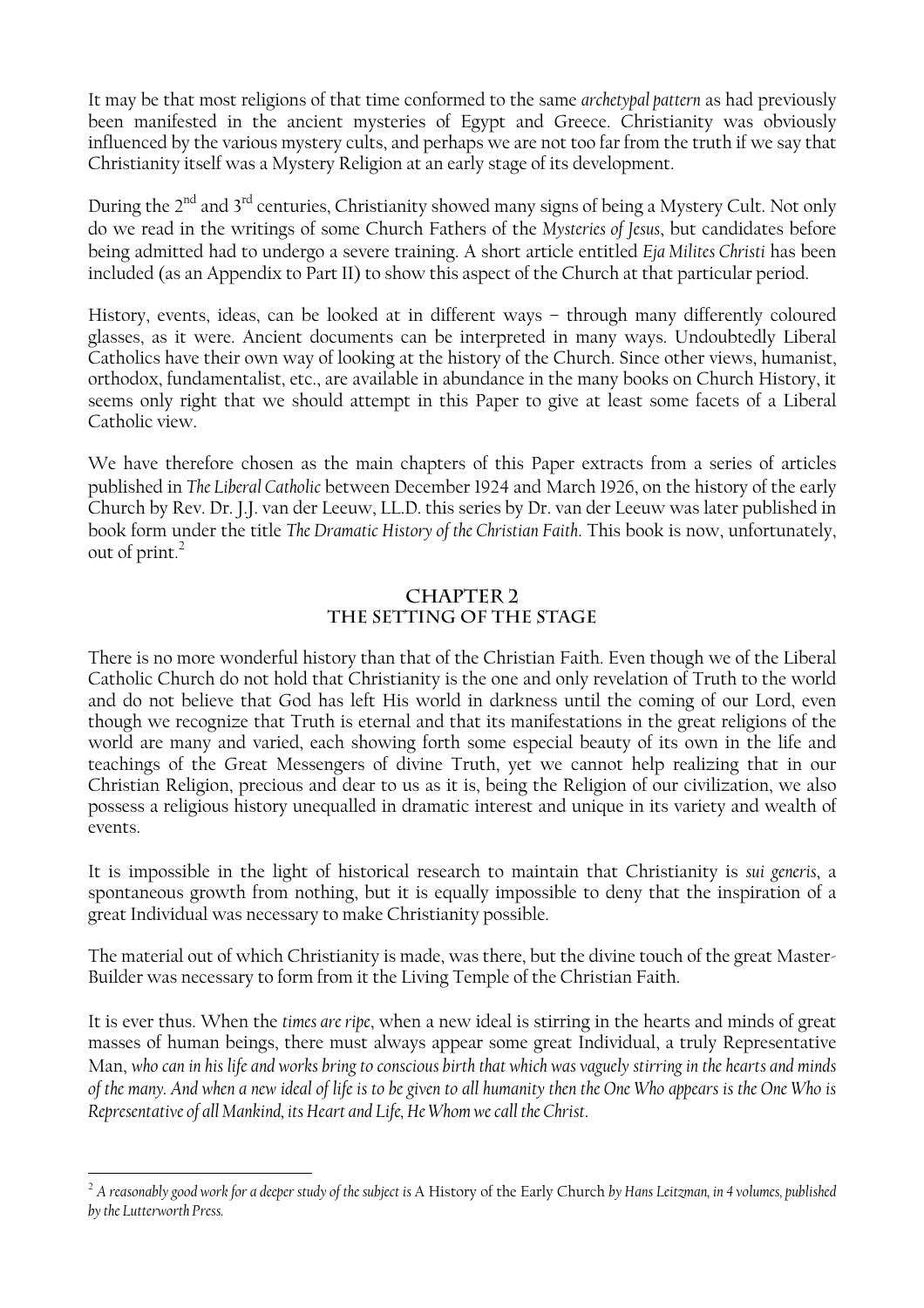It may be that most religions of that time conformed to the same *archetypal pattern* as had previously been manifested in the ancient mysteries of Egypt and Greece. Christianity was obviously influenced by the various mystery cults, and perhaps we are not too far from the truth if we say that Christianity itself was a Mystery Religion at an early stage of its development.

During the 2<sup>nd</sup> and 3<sup>rd</sup> centuries, Christianity showed many signs of being a Mystery Cult. Not only do we read in the writings of some Church Fathers of the *Mysteries of Jesus*, but candidates before being admitted had to undergo a severe training. A short article entitled *Eja Milites Christi* has been included (as an Appendix to Part II) to show this aspect of the Church at that particular period.

History, events, ideas, can be looked at in different ways – through many differently coloured glasses, as it were. Ancient documents can be interpreted in many ways. Undoubtedly Liberal Catholics have their own way of looking at the history of the Church. Since other views, humanist, orthodox, fundamentalist, etc., are available in abundance in the many books on Church History, it seems only right that we should attempt in this Paper to give at least some facets of a Liberal Catholic view.

We have therefore chosen as the main chapters of this Paper extracts from a series of articles published in *The Liberal Catholic* between December 1924 and March 1926, on the history of the early Church by Rev. Dr. J.J. van der Leeuw, LL.D. this series by Dr. van der Leeuw was later published in book form under the title *The Dramatic History of the Christian Faith*. This book is now, unfortunately, out of print. $2$ 

#### **CHAPTER 2 THE SETTING OF THE STAGE**

There is no more wonderful history than that of the Christian Faith. Even though we of the Liberal Catholic Church do not hold that Christianity is the one and only revelation of Truth to the world and do not believe that God has left His world in darkness until the coming of our Lord, even though we recognize that Truth is eternal and that its manifestations in the great religions of the world are many and varied, each showing forth some especial beauty of its own in the life and teachings of the Great Messengers of divine Truth, yet we cannot help realizing that in our Christian Religion, precious and dear to us as it is, being the Religion of our civilization, we also possess a religious history unequalled in dramatic interest and unique in its variety and wealth of events.

It is impossible in the light of historical research to maintain that Christianity is *sui generis*, a spontaneous growth from nothing, but it is equally impossible to deny that the inspiration of a great Individual was necessary to make Christianity possible.

The material out of which Christianity is made, was there, but the divine touch of the great Master-Builder was necessary to form from it the Living Temple of the Christian Faith.

It is ever thus. When the *times are ripe*, when a new ideal is stirring in the hearts and minds of great masses of human beings, there must always appear some great Individual, a truly Representative Man, *who can in his life and works bring to conscious birth that which was vaguely stirring in the hearts and minds of the many. And when a new ideal of life is to be given to all humanity then the One Who appears is the One Who is Representative of all Mankind, its Heart and Life, He Whom we call the Christ*.

<span id="page-5-0"></span><sup>&</sup>lt;sup>2</sup> A reasonably good work for a deeper study of the subject is A History of the Early Church by Hans Leitzman, in 4 volumes, published *by the Lutterworth Press.*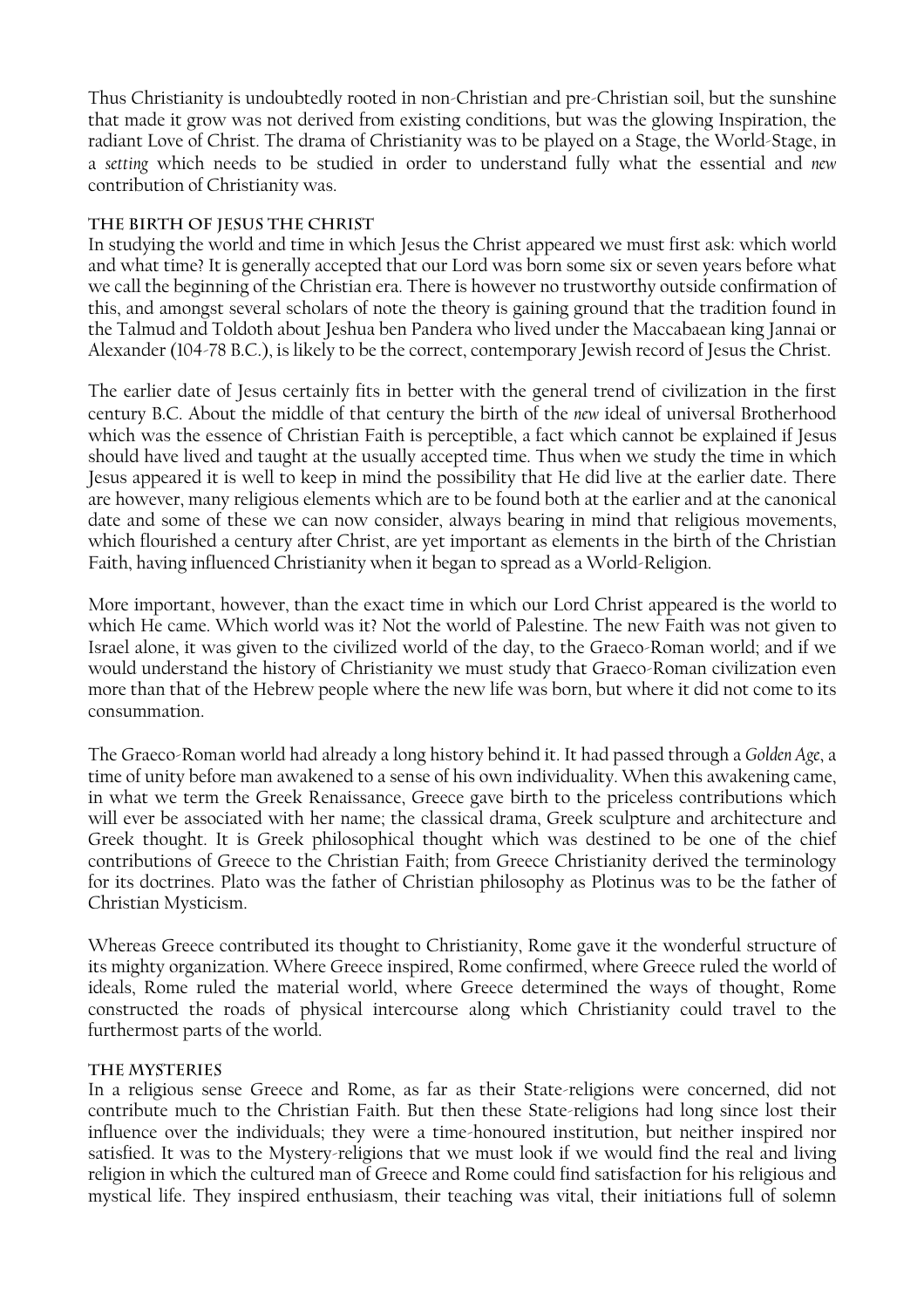Thus Christianity is undoubtedly rooted in non-Christian and pre-Christian soil, but the sunshine that made it grow was not derived from existing conditions, but was the glowing Inspiration, the radiant Love of Christ. The drama of Christianity was to be played on a Stage, the World-Stage, in a *setting* which needs to be studied in order to understand fully what the essential and *new* contribution of Christianity was.

#### **The Birth of Jesus the Christ**

In studying the world and time in which Jesus the Christ appeared we must first ask: which world and what time? It is generally accepted that our Lord was born some six or seven years before what we call the beginning of the Christian era. There is however no trustworthy outside confirmation of this, and amongst several scholars of note the theory is gaining ground that the tradition found in the Talmud and Toldoth about Jeshua ben Pandera who lived under the Maccabaean king Jannai or Alexander (104-78 B.C.), is likely to be the correct, contemporary Jewish record of Jesus the Christ.

The earlier date of Jesus certainly fits in better with the general trend of civilization in the first century B.C. About the middle of that century the birth of the *new* ideal of universal Brotherhood which was the essence of Christian Faith is perceptible, a fact which cannot be explained if Jesus should have lived and taught at the usually accepted time. Thus when we study the time in which Jesus appeared it is well to keep in mind the possibility that He did live at the earlier date. There are however, many religious elements which are to be found both at the earlier and at the canonical date and some of these we can now consider, always bearing in mind that religious movements, which flourished a century after Christ, are yet important as elements in the birth of the Christian Faith, having influenced Christianity when it began to spread as a World-Religion.

More important, however, than the exact time in which our Lord Christ appeared is the world to which He came. Which world was it? Not the world of Palestine. The new Faith was not given to Israel alone, it was given to the civilized world of the day, to the Graeco-Roman world; and if we would understand the history of Christianity we must study that Graeco-Roman civilization even more than that of the Hebrew people where the new life was born, but where it did not come to its consummation.

The Graeco-Roman world had already a long history behind it. It had passed through a *Golden Age*, a time of unity before man awakened to a sense of his own individuality. When this awakening came, in what we term the Greek Renaissance, Greece gave birth to the priceless contributions which will ever be associated with her name; the classical drama, Greek sculpture and architecture and Greek thought. It is Greek philosophical thought which was destined to be one of the chief contributions of Greece to the Christian Faith; from Greece Christianity derived the terminology for its doctrines. Plato was the father of Christian philosophy as Plotinus was to be the father of Christian Mysticism.

Whereas Greece contributed its thought to Christianity, Rome gave it the wonderful structure of its mighty organization. Where Greece inspired, Rome confirmed, where Greece ruled the world of ideals, Rome ruled the material world, where Greece determined the ways of thought, Rome constructed the roads of physical intercourse along which Christianity could travel to the furthermost parts of the world.

#### **The Mysteries**

In a religious sense Greece and Rome, as far as their State-religions were concerned, did not contribute much to the Christian Faith. But then these State-religions had long since lost their influence over the individuals; they were a time-honoured institution, but neither inspired nor satisfied. It was to the Mystery-religions that we must look if we would find the real and living religion in which the cultured man of Greece and Rome could find satisfaction for his religious and mystical life. They inspired enthusiasm, their teaching was vital, their initiations full of solemn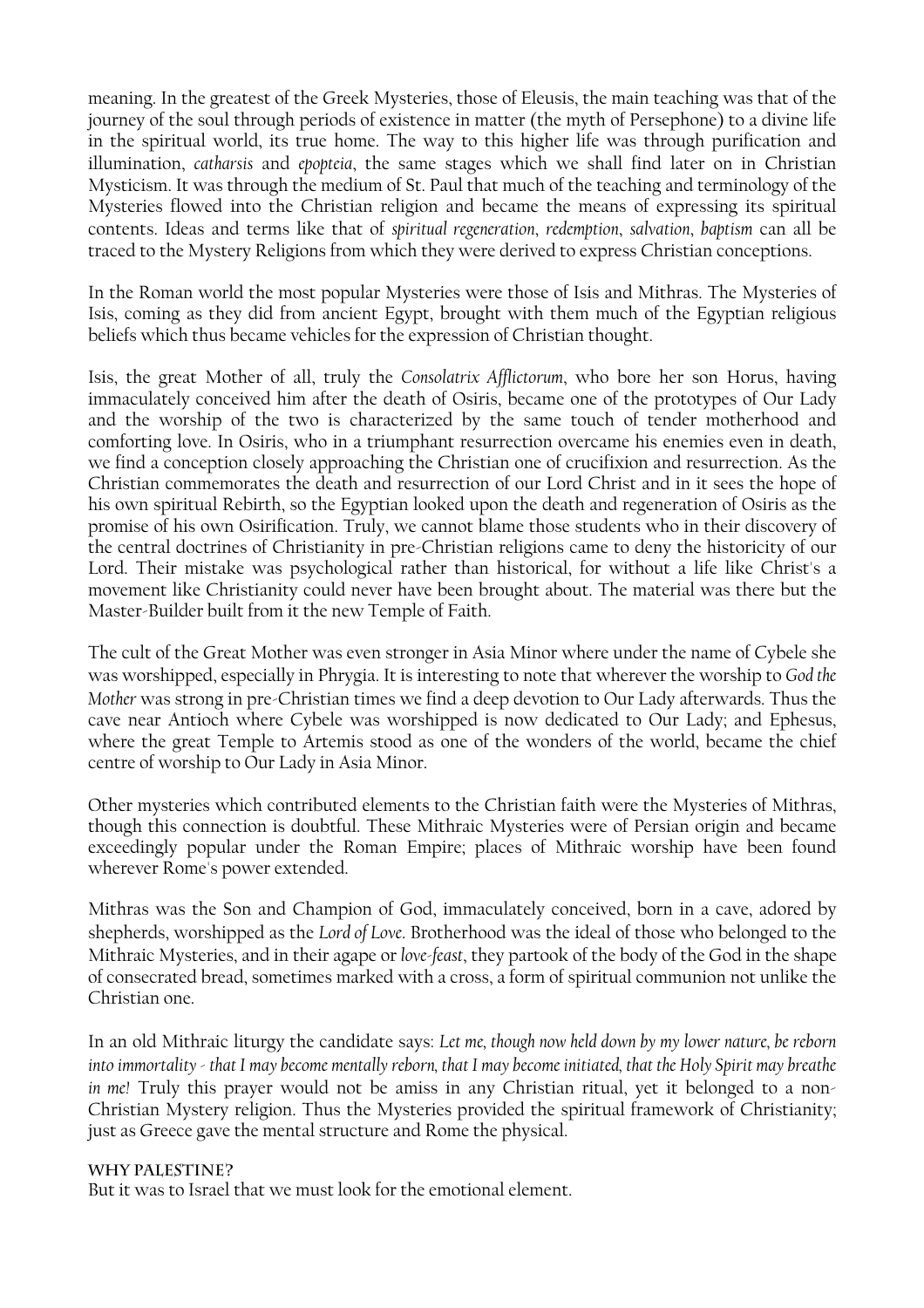meaning. In the greatest of the Greek Mysteries, those of Eleusis, the main teaching was that of the journey of the soul through periods of existence in matter (the myth of Persephone) to a divine life in the spiritual world, its true home. The way to this higher life was through purification and illumination, *catharsis* and *epopteia*, the same stages which we shall find later on in Christian Mysticism. It was through the medium of St. Paul that much of the teaching and terminology of the Mysteries flowed into the Christian religion and became the means of expressing its spiritual contents. Ideas and terms like that of *spiritual regeneration*, *redemption*, *salvation*, *baptism* can all be traced to the Mystery Religions from which they were derived to express Christian conceptions.

In the Roman world the most popular Mysteries were those of Isis and Mithras. The Mysteries of Isis, coming as they did from ancient Egypt, brought with them much of the Egyptian religious beliefs which thus became vehicles for the expression of Christian thought.

Isis, the great Mother of all, truly the *Consolatrix Afflictorum*, who bore her son Horus, having immaculately conceived him after the death of Osiris, became one of the prototypes of Our Lady and the worship of the two is characterized by the same touch of tender motherhood and comforting love. In Osiris, who in a triumphant resurrection overcame his enemies even in death, we find a conception closely approaching the Christian one of crucifixion and resurrection. As the Christian commemorates the death and resurrection of our Lord Christ and in it sees the hope of his own spiritual Rebirth, so the Egyptian looked upon the death and regeneration of Osiris as the promise of his own Osirification. Truly, we cannot blame those students who in their discovery of the central doctrines of Christianity in pre-Christian religions came to deny the historicity of our Lord. Their mistake was psychological rather than historical, for without a life like Christ's a movement like Christianity could never have been brought about. The material was there but the Master-Builder built from it the new Temple of Faith.

The cult of the Great Mother was even stronger in Asia Minor where under the name of Cybele she was worshipped, especially in Phrygia. It is interesting to note that wherever the worship to *God the Mother* was strong in pre-Christian times we find a deep devotion to Our Lady afterwards. Thus the cave near Antioch where Cybele was worshipped is now dedicated to Our Lady; and Ephesus, where the great Temple to Artemis stood as one of the wonders of the world, became the chief centre of worship to Our Lady in Asia Minor.

Other mysteries which contributed elements to the Christian faith were the Mysteries of Mithras, though this connection is doubtful. These Mithraic Mysteries were of Persian origin and became exceedingly popular under the Roman Empire; places of Mithraic worship have been found wherever Rome's power extended.

Mithras was the Son and Champion of God, immaculately conceived, born in a cave, adored by shepherds, worshipped as the *Lord of Love*. Brotherhood was the ideal of those who belonged to the Mithraic Mysteries, and in their agape or *love-feast*, they partook of the body of the God in the shape of consecrated bread, sometimes marked with a cross, a form of spiritual communion not unlike the Christian one.

In an old Mithraic liturgy the candidate says: *Let me, though now held down by my lower nature, be reborn into immortality - that I may become mentally reborn, that I may become initiated, that the Holy Spirit may breathe in me!* Truly this prayer would not be amiss in any Christian ritual, yet it belonged to a non-Christian Mystery religion. Thus the Mysteries provided the spiritual framework of Christianity; just as Greece gave the mental structure and Rome the physical.

#### **Why Palestine?**

But it was to Israel that we must look for the emotional element.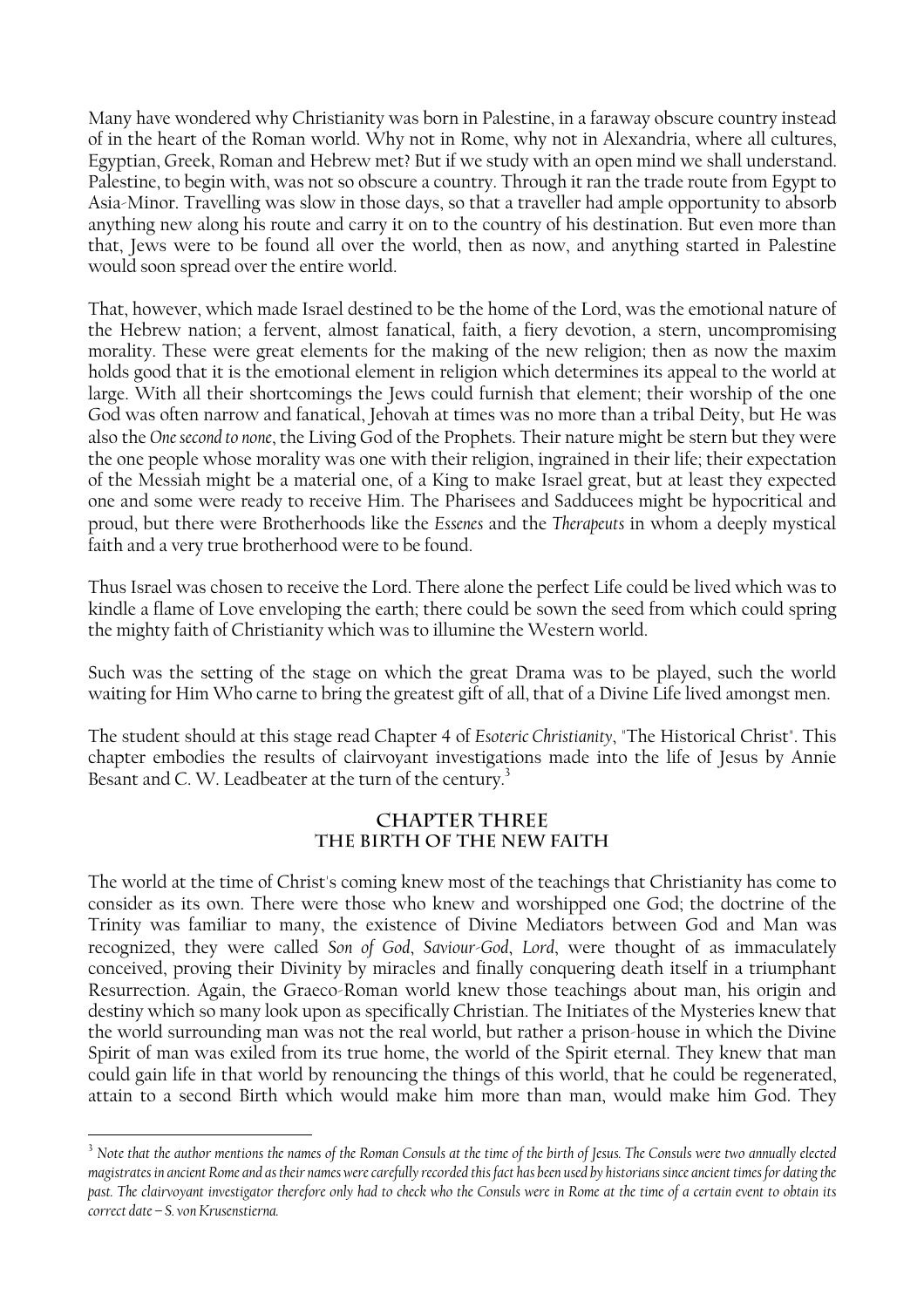Many have wondered why Christianity was born in Palestine, in a faraway obscure country instead of in the heart of the Roman world. Why not in Rome, why not in Alexandria, where all cultures, Egyptian, Greek, Roman and Hebrew met? But if we study with an open mind we shall understand. Palestine, to begin with, was not so obscure a country. Through it ran the trade route from Egypt to Asia-Minor. Travelling was slow in those days, so that a traveller had ample opportunity to absorb anything new along his route and carry it on to the country of his destination. But even more than that, Jews were to be found all over the world, then as now, and anything started in Palestine would soon spread over the entire world.

That, however, which made Israel destined to be the home of the Lord, was the emotional nature of the Hebrew nation; a fervent, almost fanatical, faith, a fiery devotion, a stern, uncompromising morality. These were great elements for the making of the new religion; then as now the maxim holds good that it is the emotional element in religion which determines its appeal to the world at large. With all their shortcomings the Jews could furnish that element; their worship of the one God was often narrow and fanatical, Jehovah at times was no more than a tribal Deity, but He was also the *One second to none*, the Living God of the Prophets. Their nature might be stern but they were the one people whose morality was one with their religion, ingrained in their life; their expectation of the Messiah might be a material one, of a King to make Israel great, but at least they expected one and some were ready to receive Him. The Pharisees and Sadducees might be hypocritical and proud, but there were Brotherhoods like the *Essenes* and the *Therapeuts* in whom a deeply mystical faith and a very true brotherhood were to be found.

Thus Israel was chosen to receive the Lord. There alone the perfect Life could be lived which was to kindle a flame of Love enveloping the earth; there could be sown the seed from which could spring the mighty faith of Christianity which was to illumine the Western world.

Such was the setting of the stage on which the great Drama was to be played, such the world waiting for Him Who carne to bring the greatest gift of all, that of a Divine Life lived amongst men.

The student should at this stage read Chapter 4 of *Esoteric Christianity*, "The Historical Christ". This chapter embodies the results of clairvoyant investigations made into the life of Jesus by Annie Besant and C. W. Leadbeater at the turn of the century.<sup>3</sup>

#### **CHAPTER THREE THE BIRTH OF THE NEW FAITH**

The world at the time of Christ's coming knew most of the teachings that Christianity has come to consider as its own. There were those who knew and worshipped one God; the doctrine of the Trinity was familiar to many, the existence of Divine Mediators between God and Man was recognized, they were called *Son of God*, *Saviour-God*, *Lord*, were thought of as immaculately conceived, proving their Divinity by miracles and finally conquering death itself in a triumphant Resurrection. Again, the Graeco-Roman world knew those teachings about man, his origin and destiny which so many look upon as specifically Christian. The Initiates of the Mysteries knew that the world surrounding man was not the real world, but rather a prison-house in which the Divine Spirit of man was exiled from its true home, the world of the Spirit eternal. They knew that man could gain life in that world by renouncing the things of this world, that he could be regenerated, attain to a second Birth which would make him more than man, would make him God. They

<span id="page-8-0"></span><sup>&</sup>lt;sup>3</sup> Note that the author mentions the names of the Roman Consuls at the time of the birth of Jesus. The Consuls were two annually elected *magistrates in ancient Rome and as their names were carefully recorded this fact has been used by historians since ancient times for dating the past. The clairvoyant investigator therefore only had to check who the Consuls were in Rome at the time of a certain event to obtain its correct date – S. von Krusenstierna.*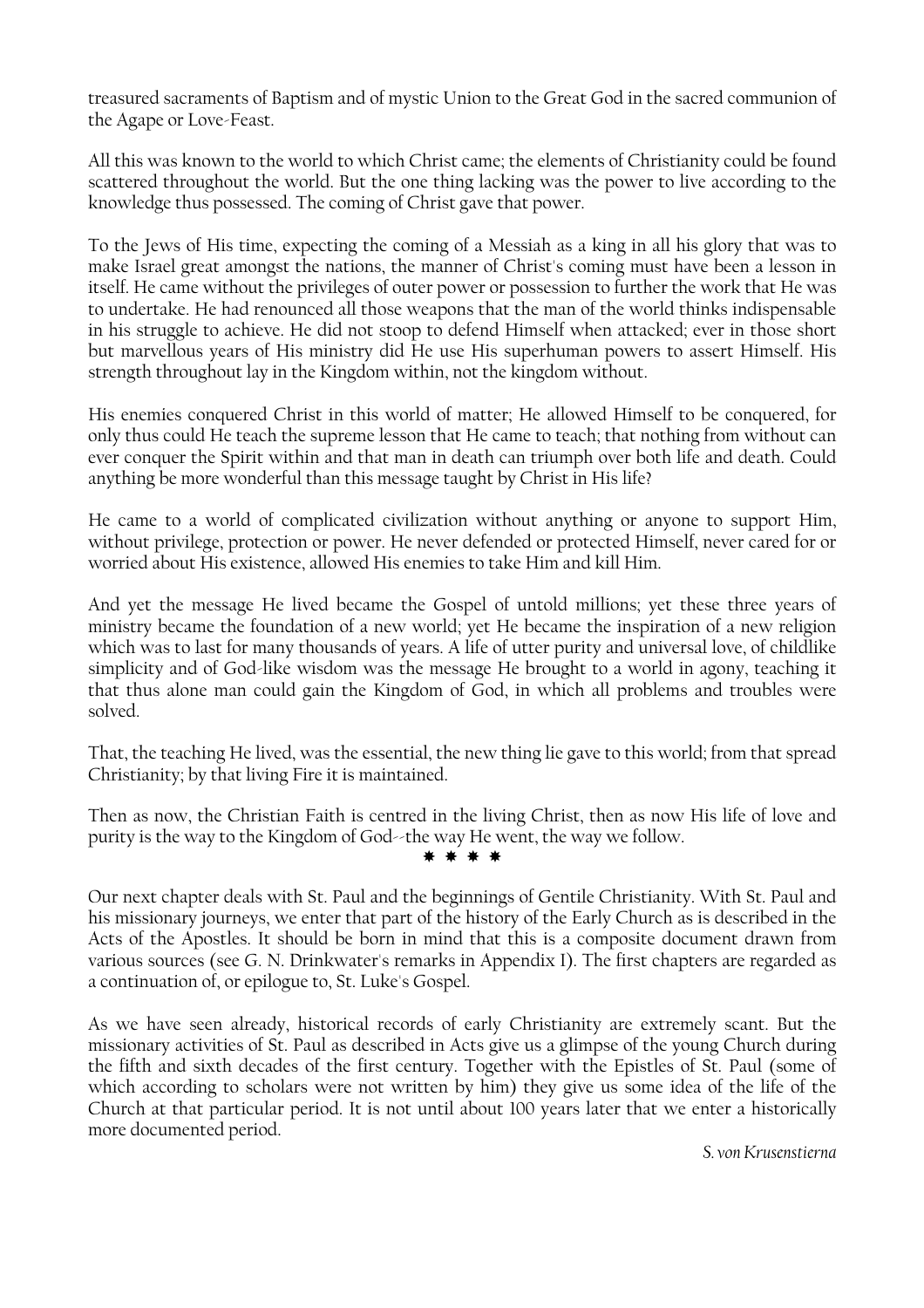treasured sacraments of Baptism and of mystic Union to the Great God in the sacred communion of the Agape or Love-Feast.

All this was known to the world to which Christ came; the elements of Christianity could be found scattered throughout the world. But the one thing lacking was the power to live according to the knowledge thus possessed. The coming of Christ gave that power.

To the Jews of His time, expecting the coming of a Messiah as a king in all his glory that was to make Israel great amongst the nations, the manner of Christ's coming must have been a lesson in itself. He came without the privileges of outer power or possession to further the work that He was to undertake. He had renounced all those weapons that the man of the world thinks indispensable in his struggle to achieve. He did not stoop to defend Himself when attacked; ever in those short but marvellous years of His ministry did He use His superhuman powers to assert Himself. His strength throughout lay in the Kingdom within, not the kingdom without.

His enemies conquered Christ in this world of matter; He allowed Himself to be conquered, for only thus could He teach the supreme lesson that He came to teach; that nothing from without can ever conquer the Spirit within and that man in death can triumph over both life and death. Could anything be more wonderful than this message taught by Christ in His life?

He came to a world of complicated civilization without anything or anyone to support Him, without privilege, protection or power. He never defended or protected Himself, never cared for or worried about His existence, allowed His enemies to take Him and kill Him.

And yet the message He lived became the Gospel of untold millions; yet these three years of ministry became the foundation of a new world; yet He became the inspiration of a new religion which was to last for many thousands of years. A life of utter purity and universal love, of childlike simplicity and of God-like wisdom was the message He brought to a world in agony, teaching it that thus alone man could gain the Kingdom of God, in which all problems and troubles were solved.

That, the teaching He lived, was the essential, the new thing lie gave to this world; from that spread Christianity; by that living Fire it is maintained.

Then as now, the Christian Faith is centred in the living Christ, then as now His life of love and purity is the way to the Kingdom of God--the way He went, the way we follow.

\* \* \* \*

Our next chapter deals with St. Paul and the beginnings of Gentile Christianity. With St. Paul and his missionary journeys, we enter that part of the history of the Early Church as is described in the Acts of the Apostles. It should be born in mind that this is a composite document drawn from various sources (see G. N. Drinkwater's remarks in Appendix I). The first chapters are regarded as a continuation of, or epilogue to, St. Luke's Gospel.

As we have seen already, historical records of early Christianity are extremely scant. But the missionary activities of St. Paul as described in Acts give us a glimpse of the young Church during the fifth and sixth decades of the first century. Together with the Epistles of St. Paul (some of which according to scholars were not written by him) they give us some idea of the life of the Church at that particular period. It is not until about 100 years later that we enter a historically more documented period.

*S. von Krusenstierna*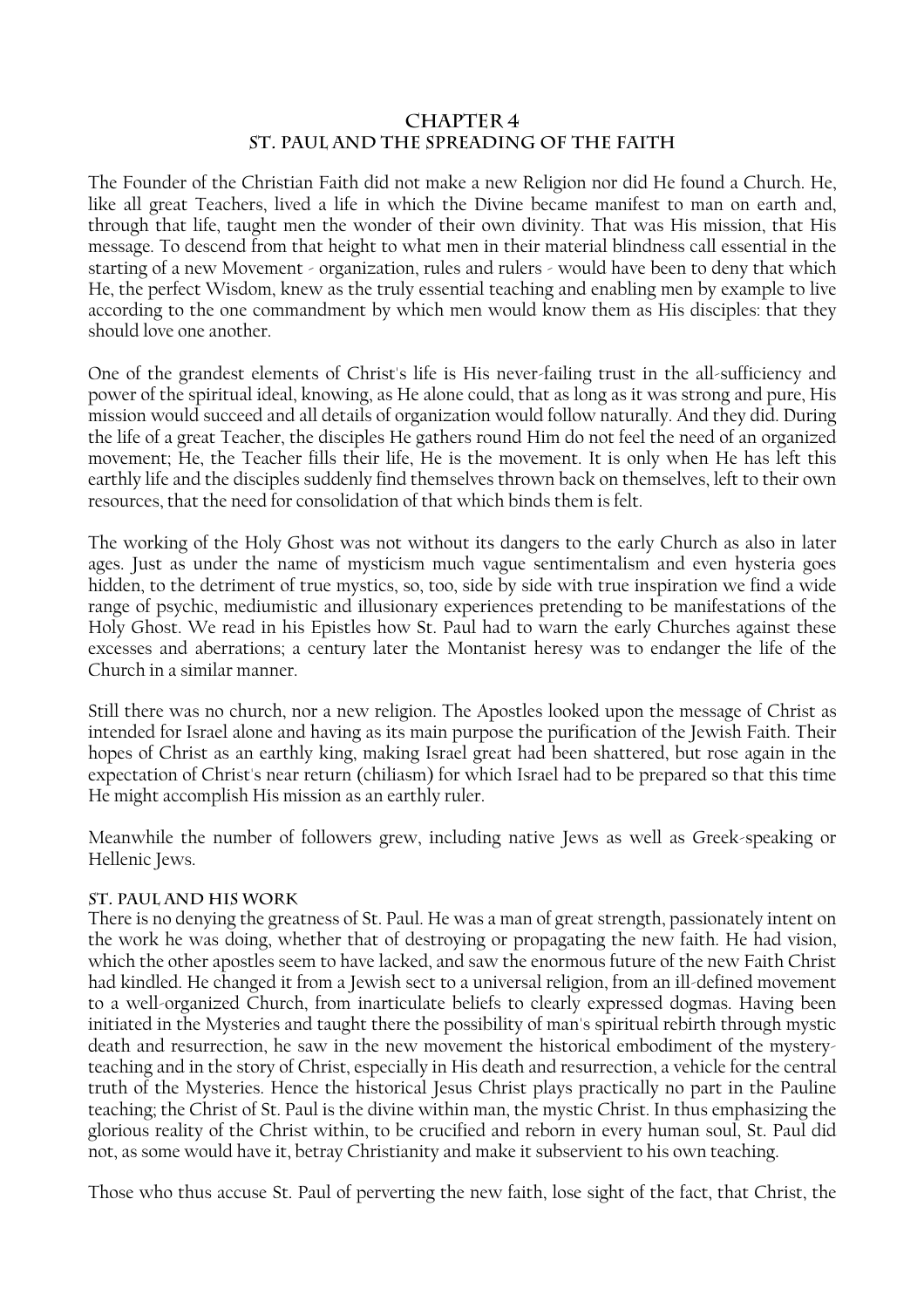#### **CHAPTER 4 ST. PAUL AND THE SPREADING OF THE FAITH**

The Founder of the Christian Faith did not make a new Religion nor did He found a Church. He, like all great Teachers, lived a life in which the Divine became manifest to man on earth and, through that life, taught men the wonder of their own divinity. That was His mission, that His message. To descend from that height to what men in their material blindness call essential in the starting of a new Movement - organization, rules and rulers - would have been to deny that which He, the perfect Wisdom, knew as the truly essential teaching and enabling men by example to live according to the one commandment by which men would know them as His disciples: that they should love one another.

One of the grandest elements of Christ's life is His never-failing trust in the all-sufficiency and power of the spiritual ideal, knowing, as He alone could, that as long as it was strong and pure, His mission would succeed and all details of organization would follow naturally. And they did. During the life of a great Teacher, the disciples He gathers round Him do not feel the need of an organized movement; He, the Teacher fills their life, He is the movement. It is only when He has left this earthly life and the disciples suddenly find themselves thrown back on themselves, left to their own resources, that the need for consolidation of that which binds them is felt.

The working of the Holy Ghost was not without its dangers to the early Church as also in later ages. Just as under the name of mysticism much vague sentimentalism and even hysteria goes hidden, to the detriment of true mystics, so, too, side by side with true inspiration we find a wide range of psychic, mediumistic and illusionary experiences pretending to be manifestations of the Holy Ghost. We read in his Epistles how St. Paul had to warn the early Churches against these excesses and aberrations; a century later the Montanist heresy was to endanger the life of the Church in a similar manner.

Still there was no church, nor a new religion. The Apostles looked upon the message of Christ as intended for Israel alone and having as its main purpose the purification of the Jewish Faith. Their hopes of Christ as an earthly king, making Israel great had been shattered, but rose again in the expectation of Christ's near return (chiliasm) for which Israel had to be prepared so that this time He might accomplish His mission as an earthly ruler.

Meanwhile the number of followers grew, including native Jews as well as Greek-speaking or Hellenic Jews.

#### **St. Paul and His Work**

There is no denying the greatness of St. Paul. He was a man of great strength, passionately intent on the work he was doing, whether that of destroying or propagating the new faith. He had vision, which the other apostles seem to have lacked, and saw the enormous future of the new Faith Christ had kindled. He changed it from a Jewish sect to a universal religion, from an ill-defined movement to a well-organized Church, from inarticulate beliefs to clearly expressed dogmas. Having been initiated in the Mysteries and taught there the possibility of man's spiritual rebirth through mystic death and resurrection, he saw in the new movement the historical embodiment of the mysteryteaching and in the story of Christ, especially in His death and resurrection, a vehicle for the central truth of the Mysteries. Hence the historical Jesus Christ plays practically no part in the Pauline teaching; the Christ of St. Paul is the divine within man, the mystic Christ. In thus emphasizing the glorious reality of the Christ within, to be crucified and reborn in every human soul, St. Paul did not, as some would have it, betray Christianity and make it subservient to his own teaching.

Those who thus accuse St. Paul of perverting the new faith, lose sight of the fact, that Christ, the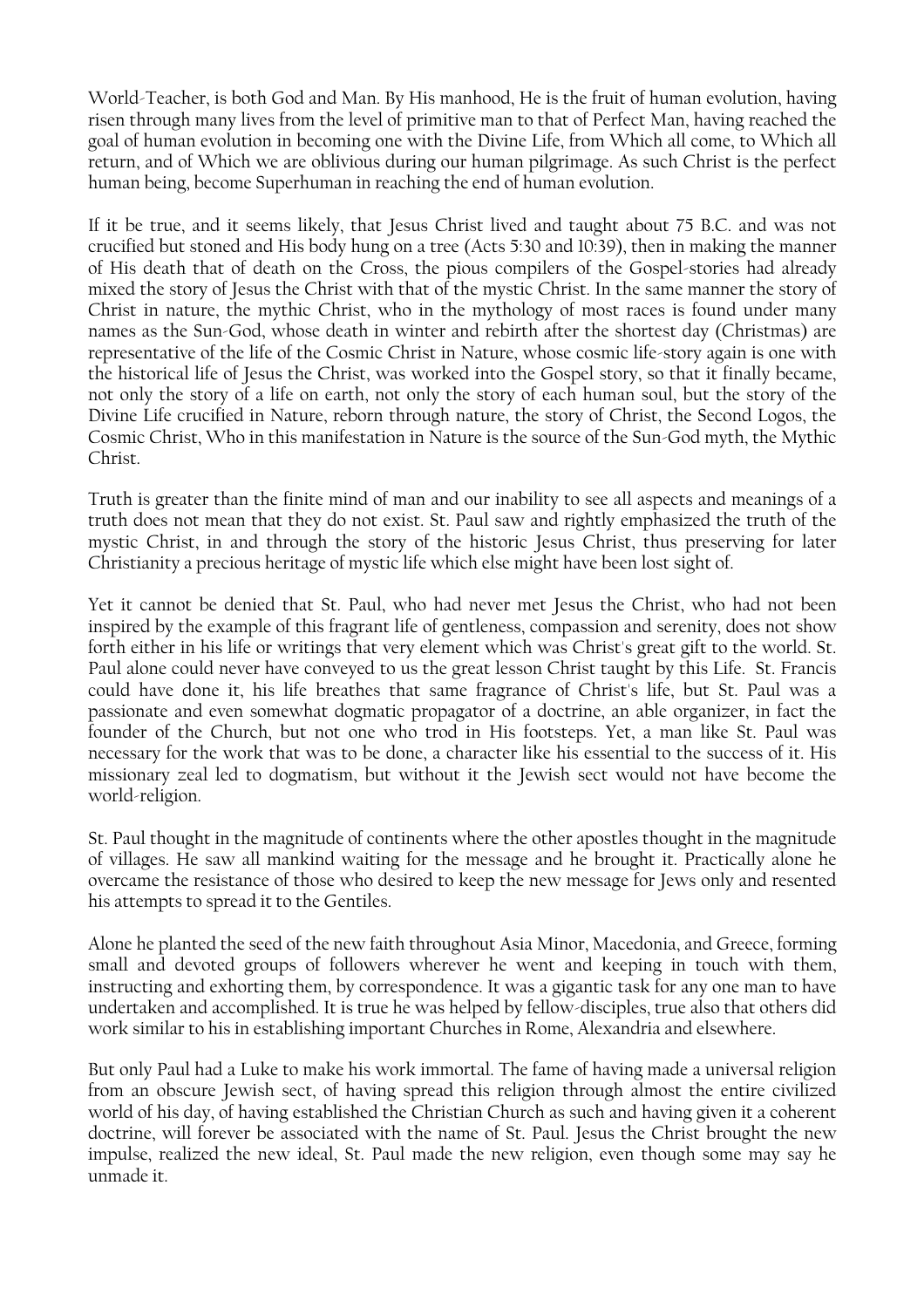World-Teacher, is both God and Man. By His manhood, He is the fruit of human evolution, having risen through many lives from the level of primitive man to that of Perfect Man, having reached the goal of human evolution in becoming one with the Divine Life, from Which all come, to Which all return, and of Which we are oblivious during our human pilgrimage. As such Christ is the perfect human being, become Superhuman in reaching the end of human evolution.

If it be true, and it seems likely, that Jesus Christ lived and taught about 75 B.C. and was not crucified but stoned and His body hung on a tree (Acts 5:30 and 10:39), then in making the manner of His death that of death on the Cross, the pious compilers of the Gospel-stories had already mixed the story of Jesus the Christ with that of the mystic Christ. In the same manner the story of Christ in nature, the mythic Christ, who in the mythology of most races is found under many names as the Sun-God, whose death in winter and rebirth after the shortest day (Christmas) are representative of the life of the Cosmic Christ in Nature, whose cosmic life-story again is one with the historical life of Jesus the Christ, was worked into the Gospel story, so that it finally became, not only the story of a life on earth, not only the story of each human soul, but the story of the Divine Life crucified in Nature, reborn through nature, the story of Christ, the Second Logos, the Cosmic Christ, Who in this manifestation in Nature is the source of the Sun-God myth, the Mythic Christ.

Truth is greater than the finite mind of man and our inability to see all aspects and meanings of a truth does not mean that they do not exist. St. Paul saw and rightly emphasized the truth of the mystic Christ, in and through the story of the historic Jesus Christ, thus preserving for later Christianity a precious heritage of mystic life which else might have been lost sight of.

Yet it cannot be denied that St. Paul, who had never met Jesus the Christ, who had not been inspired by the example of this fragrant life of gentleness, compassion and serenity, does not show forth either in his life or writings that very element which was Christ's great gift to the world. St. Paul alone could never have conveyed to us the great lesson Christ taught by this Life. St. Francis could have done it, his life breathes that same fragrance of Christ's life, but St. Paul was a passionate and even somewhat dogmatic propagator of a doctrine, an able organizer, in fact the founder of the Church, but not one who trod in His footsteps. Yet, a man like St. Paul was necessary for the work that was to be done, a character like his essential to the success of it. His missionary zeal led to dogmatism, but without it the Jewish sect would not have become the world-religion.

St. Paul thought in the magnitude of continents where the other apostles thought in the magnitude of villages. He saw all mankind waiting for the message and he brought it. Practically alone he overcame the resistance of those who desired to keep the new message for Jews only and resented his attempts to spread it to the Gentiles.

Alone he planted the seed of the new faith throughout Asia Minor, Macedonia, and Greece, forming small and devoted groups of followers wherever he went and keeping in touch with them, instructing and exhorting them, by correspondence. It was a gigantic task for any one man to have undertaken and accomplished. It is true he was helped by fellow-disciples, true also that others did work similar to his in establishing important Churches in Rome, Alexandria and elsewhere.

But only Paul had a Luke to make his work immortal. The fame of having made a universal religion from an obscure Jewish sect, of having spread this religion through almost the entire civilized world of his day, of having established the Christian Church as such and having given it a coherent doctrine, will forever be associated with the name of St. Paul. Jesus the Christ brought the new impulse, realized the new ideal, St. Paul made the new religion, even though some may say he unmade it.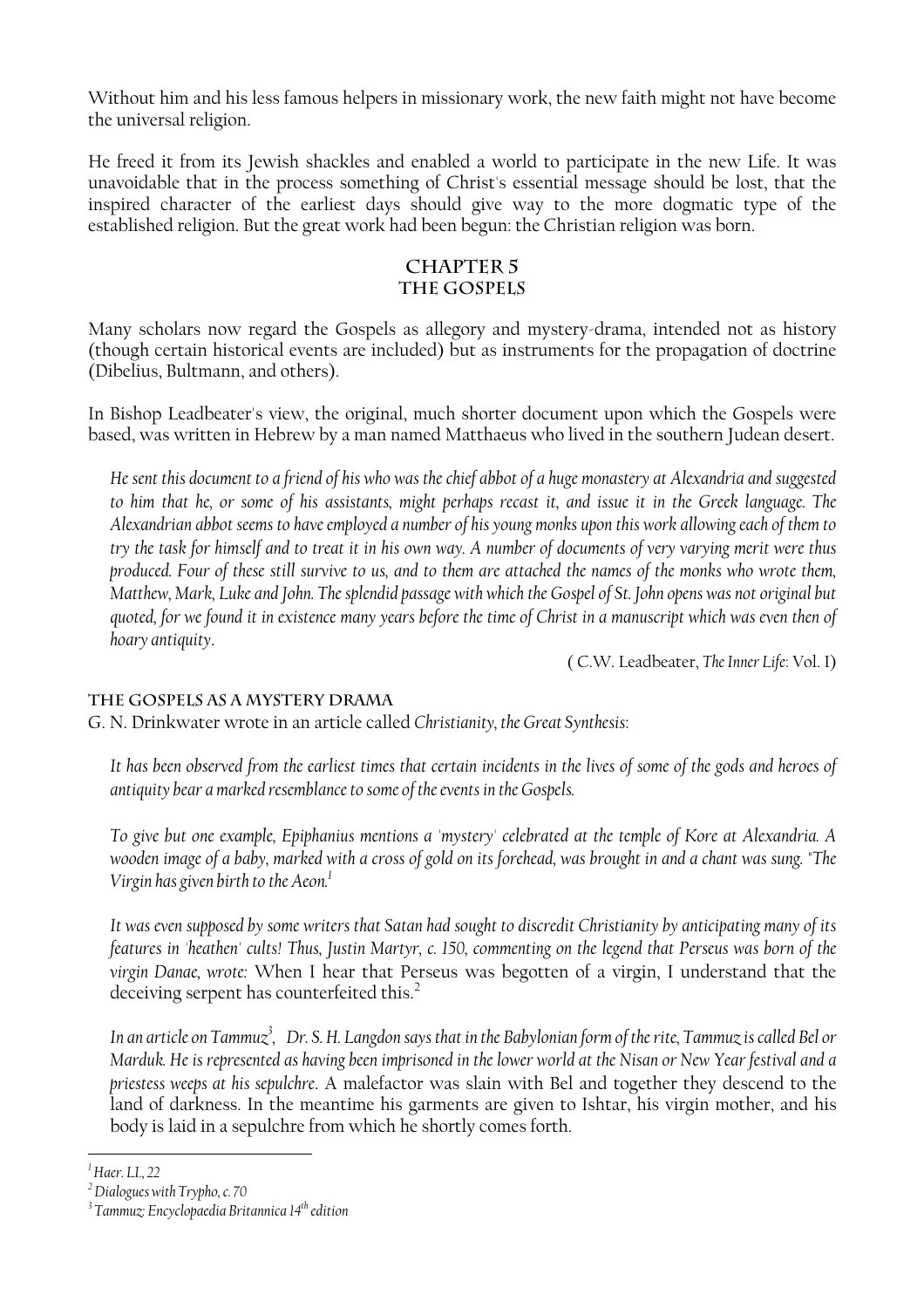Without him and his less famous helpers in missionary work, the new faith might not have become the universal religion.

He freed it from its Jewish shackles and enabled a world to participate in the new Life. It was unavoidable that in the process something of Christ's essential message should be lost, that the inspired character of the earliest days should give way to the more dogmatic type of the established religion. But the great work had been begun: the Christian religion was born.

#### **CHAPTER 5 THE GOSPELS**

Many scholars now regard the Gospels as allegory and mystery-drama, intended not as history (though certain historical events are included) but as instruments for the propagation of doctrine (Dibelius, Bultmann, and others).

In Bishop Leadbeater's view, the original, much shorter document upon which the Gospels were based, was written in Hebrew by a man named Matthaeus who lived in the southern Judean desert.

*He sent this document to a friend of his who was the chief abbot of a huge monastery at Alexandria and suggested to him that he, or some of his assistants, might perhaps recast it, and issue it in the Greek language. The Alexandrian abbot seems to have employed a number of his young monks upon this work allowing each of them to try the task for himself and to treat it in his own way. A number of documents of very varying merit were thus produced. Four of these still survive to us, and to them are attached the names of the monks who wrote them, Matthew, Mark, Luke and John. The splendid passage with which the Gospel of St. John opens was not original but quoted, for we found it in existence many years before the time of Christ in a manuscript which was even then of hoary antiquity*.

( C.W. Leadbeater, *The Inner Life*: Vol. I)

#### **The Gospels as a Mystery Drama**

G. N. Drinkwater wrote in an article called *Christianity, the Great Synthesis*:

It has been observed from the earliest times that certain incidents in the lives of some of the gods and heroes of *antiquity bear a marked resemblance to some of the events in the Gospels.* 

*To give but one example, Epiphanius mentions a 'mystery' celebrated at the temple of Kore at Alexandria. A wooden image of a baby, marked with a cross of gold on its forehead, was brought in and a chant was sung. "The Virgin has given birth to the Aeon[.1](#page-12-0)*

*It was even supposed by some writers that Satan had sought to discredit Christianity by anticipating many of its features in 'heathen' cults! Thus, Justin Martyr, c. 150, commenting on the legend that Perseus was born of the virgin Danae, wrote:* When I hear that Perseus was begotten of a virgin, I understand that the deceiving serpent has counterfeited this.<sup>[2](#page-12-1)</sup>

*In an article on Tammu[z3](#page-12-2) , Dr. S. H. Langdon says that in the Babylonian form of the rite, Tammuz is called Bel or Marduk. He is represented as having been imprisoned in the lower world at the Nisan or New Year festival and a priestess weeps at his sepulchre*. A malefactor was slain with Bel and together they descend to the land of darkness. In the meantime his garments are given to Ishtar, his virgin mother, and his body is laid in a sepulchre from which he shortly comes forth.

<span id="page-12-0"></span>*<sup>1</sup> Haer. LI., 22* 

<span id="page-12-1"></span>*<sup>2</sup> Dialogues with Trypho, c. 70* 

<span id="page-12-2"></span>*<sup>3</sup> Tammuz: Encyclopaedia Britannica 14th edition*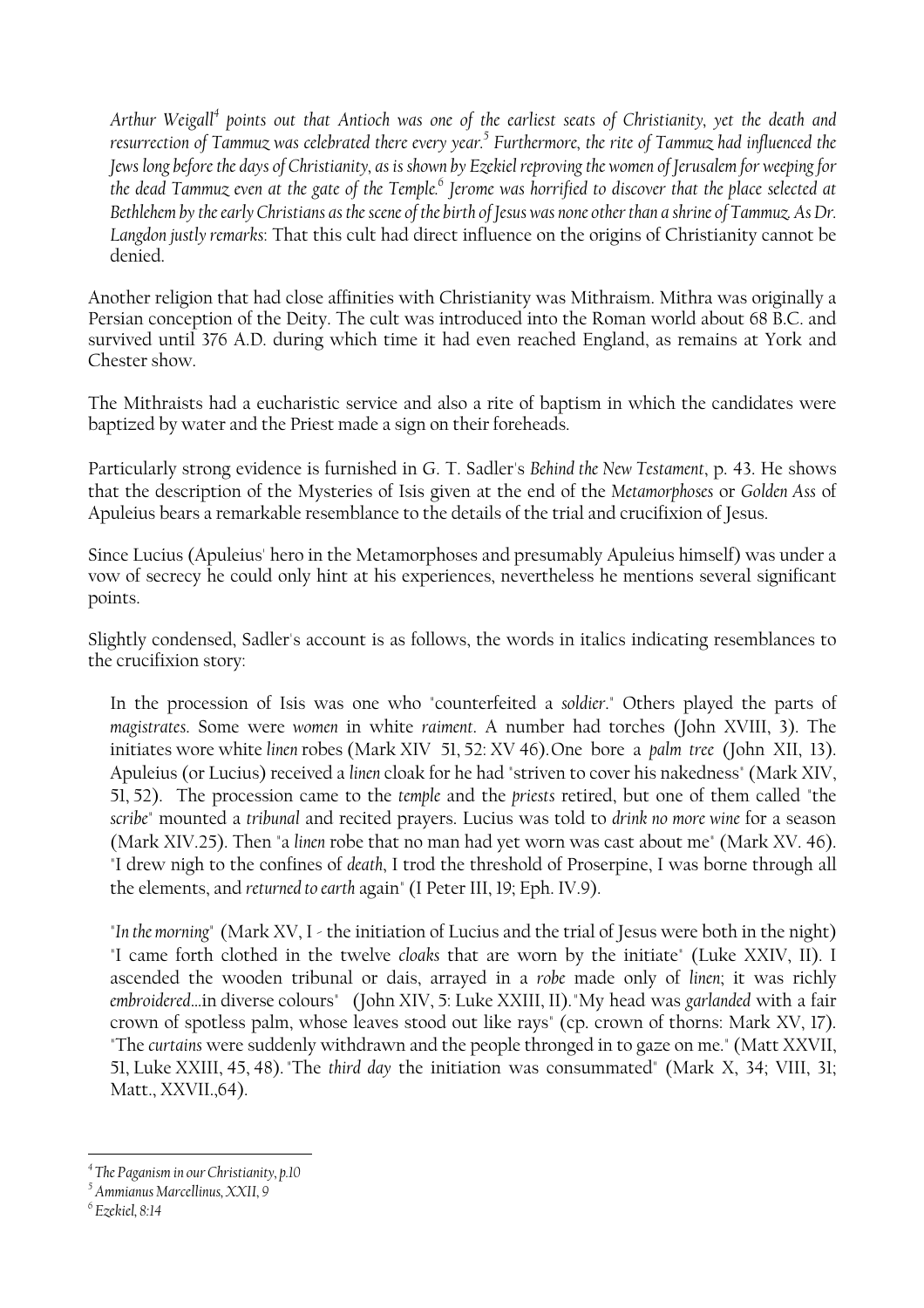*Arthur Weigall[4](#page-13-0) points out that Antioch was one of the earliest seats of Christianity, yet the death and resurrection of Tammuz was celebrated there every year.[5](#page-13-1) Furthermore, the rite of Tammuz had influenced the Jews long before the days of Christianity, as is shown by Ezekiel reproving the women of Jerusalem for weeping for the dead Tammuz even at the gate of the Temple[.6](#page-13-2) Jerome was horrified to discover that the place selected at Bethlehem by the early Christians as the scene of the birth of Jesus was none other than a shrine of Tammuz. As Dr. Langdon justly remarks*: That this cult had direct influence on the origins of Christianity cannot be denied.

Another religion that had close affinities with Christianity was Mithraism. Mithra was originally a Persian conception of the Deity. The cult was introduced into the Roman world about 68 B.C. and survived until 376 A.D. during which time it had even reached England, as remains at York and Chester show.

The Mithraists had a eucharistic service and also a rite of baptism in which the candidates were baptized by water and the Priest made a sign on their foreheads.

Particularly strong evidence is furnished in G. T. Sadler's *Behind the New Testament*, p. 43. He shows that the description of the Mysteries of Isis given at the end of the *Metamorphoses* or *Golden Ass* of Apuleius bears a remarkable resemblance to the details of the trial and crucifixion of Jesus.

Since Lucius (Apuleius' hero in the Metamorphoses and presumably Apuleius himself) was under a vow of secrecy he could only hint at his experiences, nevertheless he mentions several significant points.

Slightly condensed, Sadler's account is as follows, the words in italics indicating resemblances to the crucifixion story:

In the procession of Isis was one who "counterfeited a *soldier*." Others played the parts of *magistrates*. Some were *women* in white *raiment*. A number had torches (John XVIII, 3). The initiates wore white *linen* robes (Mark XIV 51, 52: XV 46). One bore a *palm tree* (John XII, 13). Apuleius (or Lucius) received a *linen* cloak for he had "striven to cover his nakedness" (Mark XIV, 51, 52). The procession came to the *temple* and the *priests* retired, but one of them called "the *scribe*" mounted a *tribunal* and recited prayers. Lucius was told to *drink no more wine* for a season (Mark XIV.25). Then "a *linen* robe that no man had yet worn was cast about me" (Mark XV. 46). "I drew nigh to the confines of *death*, I trod the threshold of Proserpine, I was borne through all the elements, and *returned to earth* again" (I Peter III, 19; Eph. IV.9).

"*In the morning*" (Mark XV, I - the initiation of Lucius and the trial of Jesus were both in the night) "I came forth clothed in the twelve *cloaks* that are worn by the initiate" (Luke XXIV, II). I ascended the wooden tribunal or dais, arrayed in a *robe* made only of *linen*; it was richly *embroidered*…in diverse colours" (John XIV, 5: Luke XXIII, II). "My head was *garlanded* with a fair crown of spotless palm, whose leaves stood out like rays" (cp. crown of thorns: Mark XV, 17). "The *curtains* were suddenly withdrawn and the people thronged in to gaze on me." (Matt XXVII, 51, Luke XXIII, 45, 48). "The *third day* the initiation was consummated" (Mark X, 34; VIII, 31; Matt., XXVII.,64).

<span id="page-13-0"></span>*<sup>4</sup> The Paganism in our Christianity, p.10* 

<span id="page-13-1"></span>*<sup>5</sup> Ammianus Marcellinus, XXII, 9* 

<span id="page-13-2"></span>*<sup>6</sup> Ezekiel, 8:14*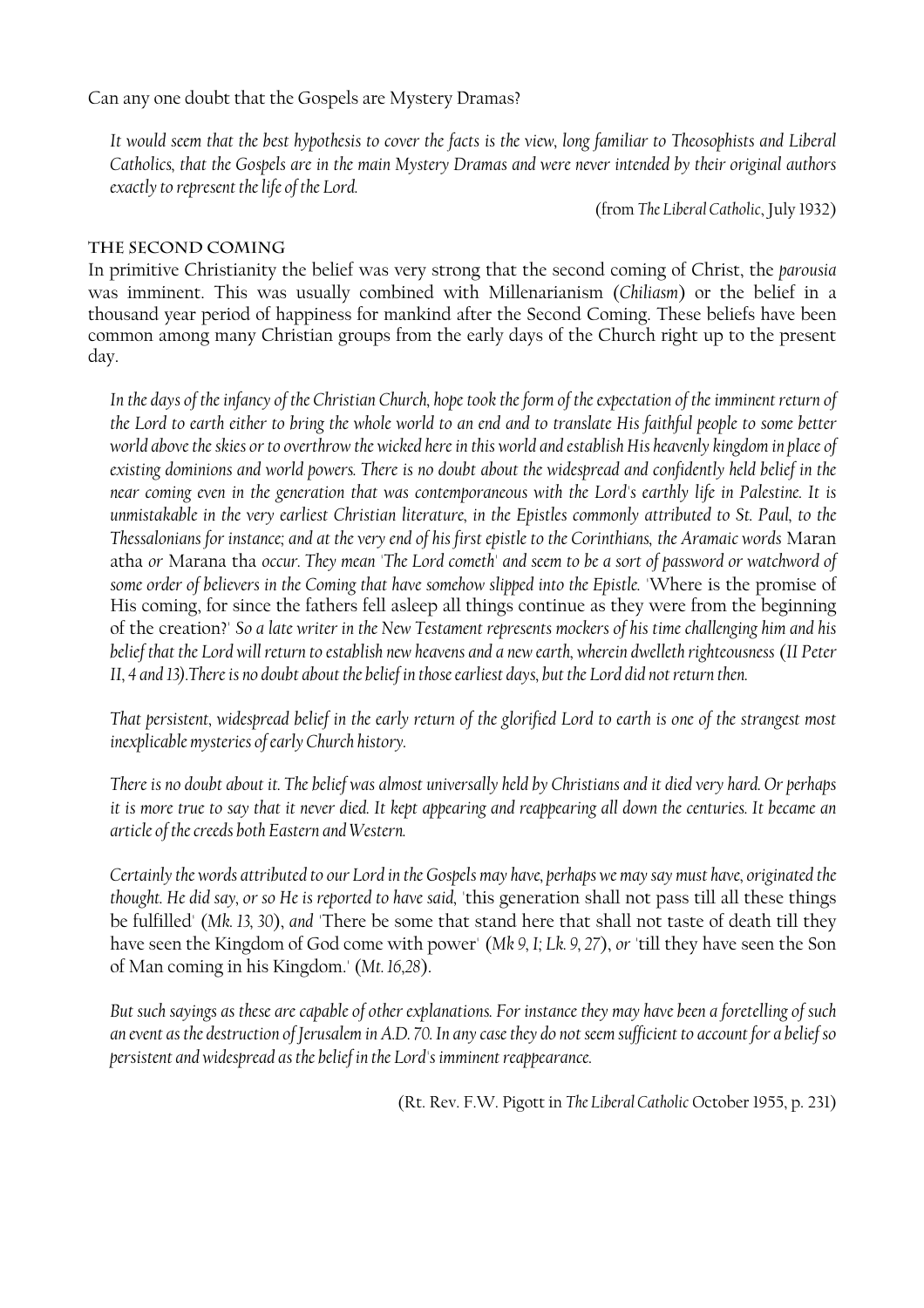Can any one doubt that the Gospels are Mystery Dramas?

*It would seem that the best hypothesis to cover the facts is the view, long familiar to Theosophists and Liberal Catholics, that the Gospels are in the main Mystery Dramas and were never intended by their original authors exactly to represent the life of the Lord.* 

(from *The Liberal Catholic*, July 1932)

#### **The Second Coming**

In primitive Christianity the belief was very strong that the second coming of Christ, the *parousia* was imminent. This was usually combined with Millenarianism (*Chiliasm*) or the belief in a thousand year period of happiness for mankind after the Second Coming. These beliefs have been common among many Christian groups from the early days of the Church right up to the present day.

In the days of the infancy of the Christian Church, hope took the form of the expectation of the imminent return of *the Lord to earth either to bring the whole world to an end and to translate His faithful people to some better world above the skies or to overthrow the wicked here in this world and establish His heavenly kingdom in place of existing dominions and world powers. There is no doubt about the widespread and confidently held belief in the near coming even in the generation that was contemporaneous with the Lord's earthly life in Palestine. It is unmistakable in the very earliest Christian literature, in the Epistles commonly attributed to St. Paul, to the Thessalonians for instance; and at the very end of his first epistle to the Corinthians, the Aramaic words* Maran atha *or* Marana tha *occur. They mean 'The Lord cometh' and seem to be a sort of password or watchword of some order of believers in the Coming that have somehow slipped into the Epistle.* 'Where is the promise of His coming, for since the fathers fell asleep all things continue as they were from the beginning of the creation?' *So a late writer in the New Testament represents mockers of his time challenging him and his belief that the Lord will return to establish new heavens and a new earth, wherein dwelleth righteousness* (*II Peter II, 4 and 13).There is no doubt about the belief in those earliest days, but the Lord did not return then.* 

*That persistent, widespread belief in the early return of the glorified Lord to earth is one of the strangest most inexplicable mysteries of early Church history.* 

*There is no doubt about it. The belief was almost universally held by Christians and it died very hard. Or perhaps it is more true to say that it never died. It kept appearing and reappearing all down the centuries. It became an article of the creeds both Eastern and Western.* 

*Certainly the words attributed to our Lord in the Gospels may have, perhaps we may say must have, originated the thought. He did say, or so He is reported to have said,* 'this generation shall not pass till all these things be fulfilled' (*Mk. 13, 30*), *and* 'There be some that stand here that shall not taste of death till they have seen the Kingdom of God come with power' (*Mk 9, I; Lk. 9, 27*), *or* 'till they have seen the Son of Man coming in his Kingdom.' (*Mt. 16,28*).

*But such sayings as these are capable of other explanations. For instance they may have been a foretelling of such an event as the destruction of Jerusalem in A.D. 70. In any case they do not seem sufficient to account for a belief so persistent and widespread as the belief in the Lord's imminent reappearance.* 

(Rt. Rev. F.W. Pigott in *The Liberal Catholic* October 1955, p. 231)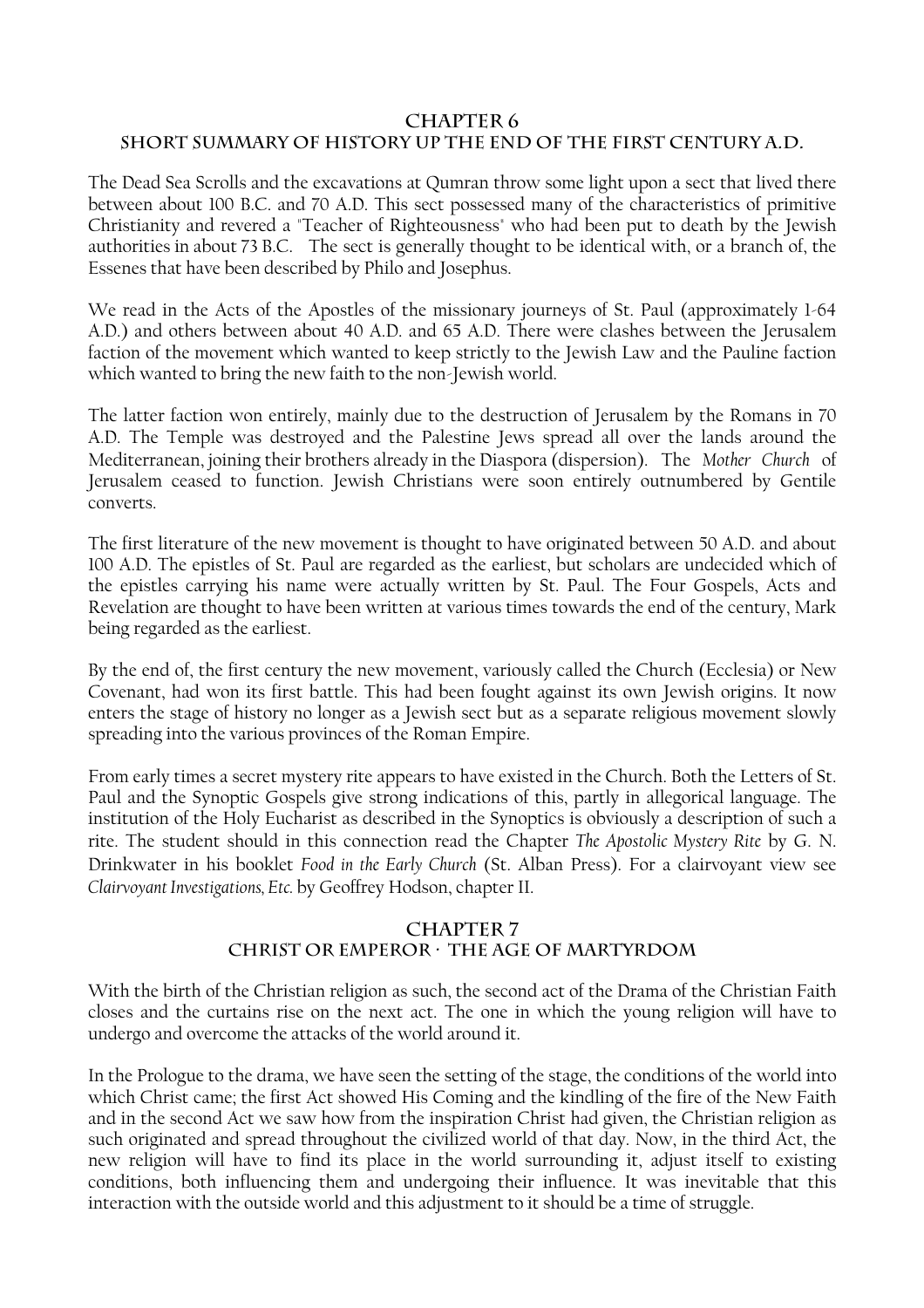#### **CHAPTER 6 SHORT SUMMARY OF HISTORY UP THE END OF THE FIRST CENTURY A.D.**

The Dead Sea Scrolls and the excavations at Qumran throw some light upon a sect that lived there between about 100 B.C. and 70 A.D. This sect possessed many of the characteristics of primitive Christianity and revered a "Teacher of Righteousness" who had been put to death by the Jewish authorities in about 73 B.C. The sect is generally thought to be identical with, or a branch of, the Essenes that have been described by Philo and Josephus.

We read in the Acts of the Apostles of the missionary journeys of St. Paul (approximately 1-64 A.D.) and others between about 40 A.D. and 65 A.D. There were clashes between the Jerusalem faction of the movement which wanted to keep strictly to the Jewish Law and the Pauline faction which wanted to bring the new faith to the non-Jewish world.

The latter faction won entirely, mainly due to the destruction of Jerusalem by the Romans in 70 A.D. The Temple was destroyed and the Palestine Jews spread all over the lands around the Mediterranean, joining their brothers already in the Diaspora (dispersion). The *Mother Church* of Jerusalem ceased to function. Jewish Christians were soon entirely outnumbered by Gentile converts.

The first literature of the new movement is thought to have originated between 50 A.D. and about 100 A.D. The epistles of St. Paul are regarded as the earliest, but scholars are undecided which of the epistles carrying his name were actually written by St. Paul. The Four Gospels, Acts and Revelation are thought to have been written at various times towards the end of the century, Mark being regarded as the earliest.

By the end of, the first century the new movement, variously called the Church (Ecclesia) or New Covenant, had won its first battle. This had been fought against its own Jewish origins. It now enters the stage of history no longer as a Jewish sect but as a separate religious movement slowly spreading into the various provinces of the Roman Empire.

From early times a secret mystery rite appears to have existed in the Church. Both the Letters of St. Paul and the Synoptic Gospels give strong indications of this, partly in allegorical language. The institution of the Holy Eucharist as described in the Synoptics is obviously a description of such a rite. The student should in this connection read the Chapter *The Apostolic Mystery Rite* by G. N. Drinkwater in his booklet *Food in the Early Church* (St. Alban Press). For a clairvoyant view see *Clairvoyant Investigations, Etc.* by Geoffrey Hodson, chapter II.

#### **Chapter 7 Christ or Emperor — The Age of Martyrdom**

With the birth of the Christian religion as such, the second act of the Drama of the Christian Faith closes and the curtains rise on the next act. The one in which the young religion will have to undergo and overcome the attacks of the world around it.

In the Prologue to the drama, we have seen the setting of the stage, the conditions of the world into which Christ came; the first Act showed His Coming and the kindling of the fire of the New Faith and in the second Act we saw how from the inspiration Christ had given, the Christian religion as such originated and spread throughout the civilized world of that day. Now, in the third Act, the new religion will have to find its place in the world surrounding it, adjust itself to existing conditions, both influencing them and undergoing their influence. It was inevitable that this interaction with the outside world and this adjustment to it should be a time of struggle.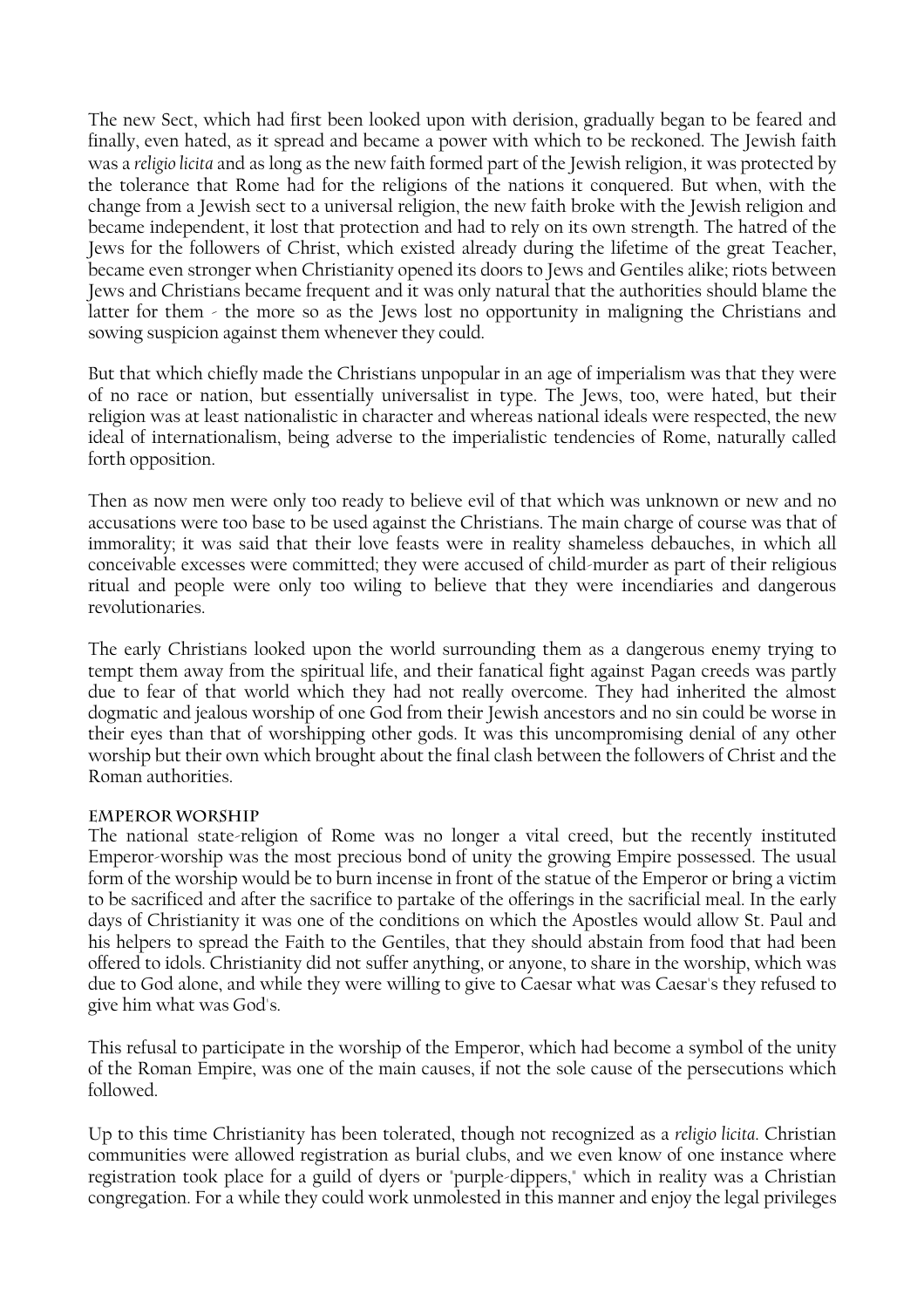The new Sect, which had first been looked upon with derision, gradually began to be feared and finally, even hated, as it spread and became a power with which to be reckoned. The Jewish faith was a *religio licita* and as long as the new faith formed part of the Jewish religion, it was protected by the tolerance that Rome had for the religions of the nations it conquered. But when, with the change from a Jewish sect to a universal religion, the new faith broke with the Jewish religion and became independent, it lost that protection and had to rely on its own strength. The hatred of the Jews for the followers of Christ, which existed already during the lifetime of the great Teacher, became even stronger when Christianity opened its doors to Jews and Gentiles alike; riots between Jews and Christians became frequent and it was only natural that the authorities should blame the latter for them - the more so as the Jews lost no opportunity in maligning the Christians and sowing suspicion against them whenever they could.

But that which chiefly made the Christians unpopular in an age of imperialism was that they were of no race or nation, but essentially universalist in type. The Jews, too, were hated, but their religion was at least nationalistic in character and whereas national ideals were respected, the new ideal of internationalism, being adverse to the imperialistic tendencies of Rome, naturally called forth opposition.

Then as now men were only too ready to believe evil of that which was unknown or new and no accusations were too base to be used against the Christians. The main charge of course was that of immorality; it was said that their love feasts were in reality shameless debauches, in which all conceivable excesses were committed; they were accused of child-murder as part of their religious ritual and people were only too wiling to believe that they were incendiaries and dangerous revolutionaries.

The early Christians looked upon the world surrounding them as a dangerous enemy trying to tempt them away from the spiritual life, and their fanatical fight against Pagan creeds was partly due to fear of that world which they had not really overcome. They had inherited the almost dogmatic and jealous worship of one God from their Jewish ancestors and no sin could be worse in their eyes than that of worshipping other gods. It was this uncompromising denial of any other worship but their own which brought about the final clash between the followers of Christ and the Roman authorities.

#### **Emperor Worship**

The national state-religion of Rome was no longer a vital creed, but the recently instituted Emperor-worship was the most precious bond of unity the growing Empire possessed. The usual form of the worship would be to burn incense in front of the statue of the Emperor or bring a victim to be sacrificed and after the sacrifice to partake of the offerings in the sacrificial meal. In the early days of Christianity it was one of the conditions on which the Apostles would allow St. Paul and his helpers to spread the Faith to the Gentiles, that they should abstain from food that had been offered to idols. Christianity did not suffer anything, or anyone, to share in the worship, which was due to God alone, and while they were willing to give to Caesar what was Caesar's they refused to give him what was God's.

This refusal to participate in the worship of the Emperor, which had become a symbol of the unity of the Roman Empire, was one of the main causes, if not the sole cause of the persecutions which followed.

Up to this time Christianity has been tolerated, though not recognized as a *religio licita*. Christian communities were allowed registration as burial clubs, and we even know of one instance where registration took place for a guild of dyers or "purple-dippers," which in reality was a Christian congregation. For a while they could work unmolested in this manner and enjoy the legal privileges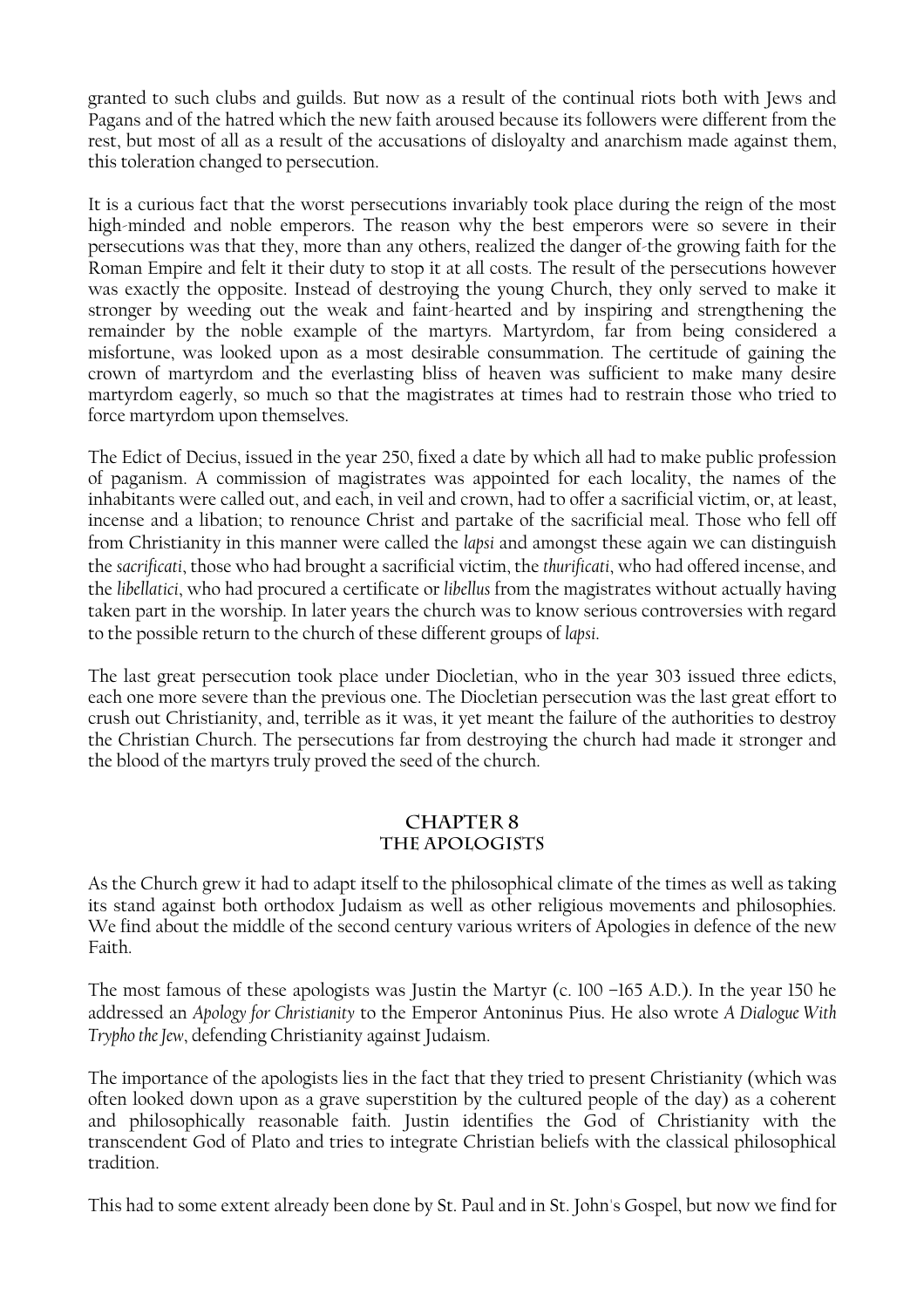granted to such clubs and guilds. But now as a result of the continual riots both with Jews and Pagans and of the hatred which the new faith aroused because its followers were different from the rest, but most of all as a result of the accusations of disloyalty and anarchism made against them, this toleration changed to persecution.

It is a curious fact that the worst persecutions invariably took place during the reign of the most high-minded and noble emperors. The reason why the best emperors were so severe in their persecutions was that they, more than any others, realized the danger of-the growing faith for the Roman Empire and felt it their duty to stop it at all costs. The result of the persecutions however was exactly the opposite. Instead of destroying the young Church, they only served to make it stronger by weeding out the weak and faint-hearted and by inspiring and strengthening the remainder by the noble example of the martyrs. Martyrdom, far from being considered a misfortune, was looked upon as a most desirable consummation. The certitude of gaining the crown of martyrdom and the everlasting bliss of heaven was sufficient to make many desire martyrdom eagerly, so much so that the magistrates at times had to restrain those who tried to force martyrdom upon themselves.

The Edict of Decius, issued in the year 250, fixed a date by which all had to make public profession of paganism. A commission of magistrates was appointed for each locality, the names of the inhabitants were called out, and each, in veil and crown, had to offer a sacrificial victim, or, at least, incense and a libation; to renounce Christ and partake of the sacrificial meal. Those who fell off from Christianity in this manner were called the *lapsi* and amongst these again we can distinguish the *sacrificati*, those who had brought a sacrificial victim, the *thurificati*, who had offered incense, and the *libellatici*, who had procured a certificate or *libellus* from the magistrates without actually having taken part in the worship. In later years the church was to know serious controversies with regard to the possible return to the church of these different groups of *lapsi*.

The last great persecution took place under Diocletian, who in the year 303 issued three edicts, each one more severe than the previous one. The Diocletian persecution was the last great effort to crush out Christianity, and, terrible as it was, it yet meant the failure of the authorities to destroy the Christian Church. The persecutions far from destroying the church had made it stronger and the blood of the martyrs truly proved the seed of the church.

#### **CHAPTER 8 THE APOLOGISTS**

As the Church grew it had to adapt itself to the philosophical climate of the times as well as taking its stand against both orthodox Judaism as well as other religious movements and philosophies. We find about the middle of the second century various writers of Apologies in defence of the new Faith.

The most famous of these apologists was Justin the Martyr (c. 100 –165 A.D.). In the year 150 he addressed an *Apology for Christianity* to the Emperor Antoninus Pius. He also wrote *A Dialogue With Trypho the Jew*, defending Christianity against Judaism.

The importance of the apologists lies in the fact that they tried to present Christianity (which was often looked down upon as a grave superstition by the cultured people of the day) as a coherent and philosophically reasonable faith. Justin identifies the God of Christianity with the transcendent God of Plato and tries to integrate Christian beliefs with the classical philosophical tradition.

This had to some extent already been done by St. Paul and in St. John's Gospel, but now we find for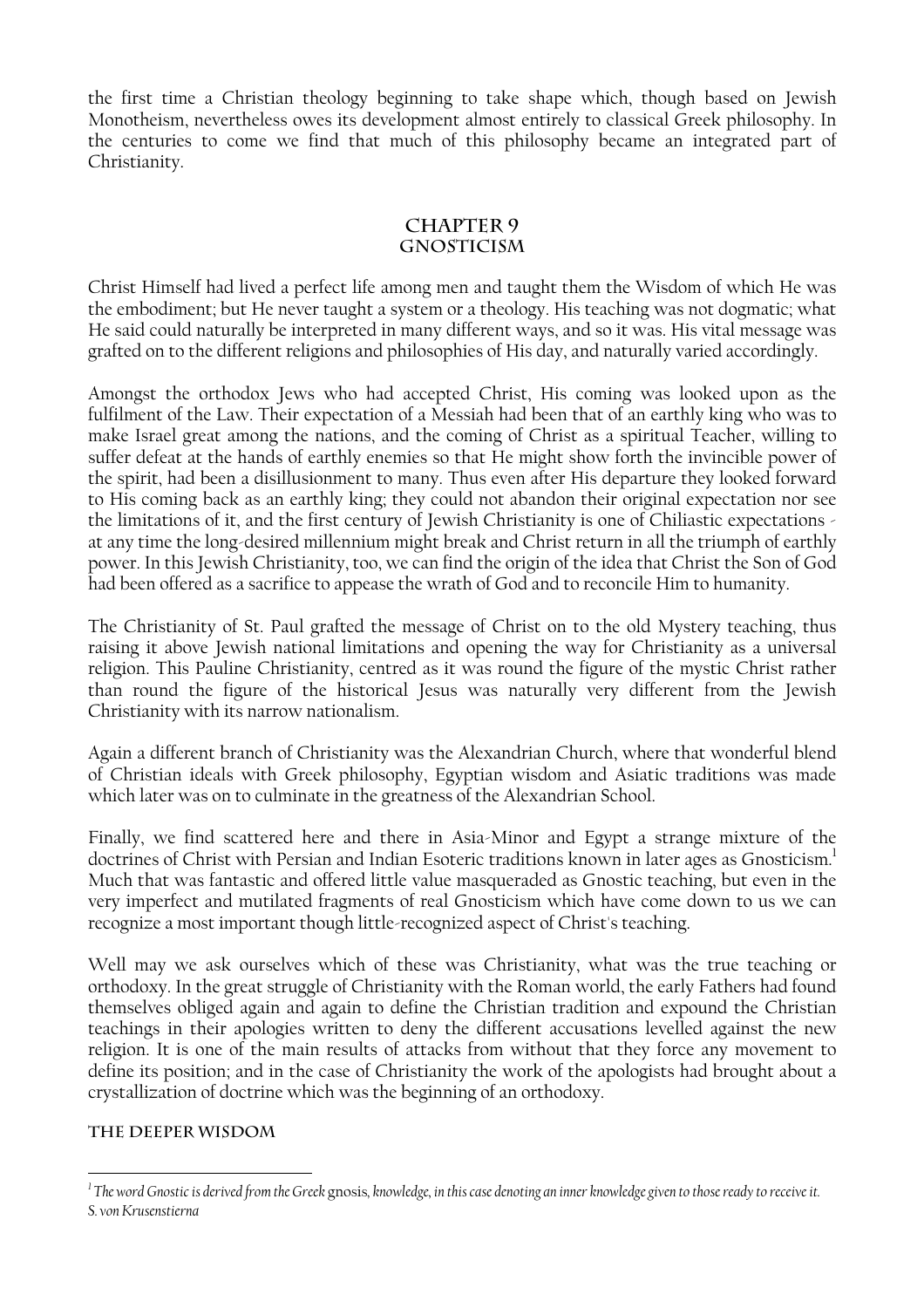the first time a Christian theology beginning to take shape which, though based on Jewish Monotheism, nevertheless owes its development almost entirely to classical Greek philosophy. In the centuries to come we find that much of this philosophy became an integrated part of Christianity.

#### **CHAPTER 9 GNOSTICISM**

Christ Himself had lived a perfect life among men and taught them the Wisdom of which He was the embodiment; but He never taught a system or a theology. His teaching was not dogmatic; what He said could naturally be interpreted in many different ways, and so it was. His vital message was grafted on to the different religions and philosophies of His day, and naturally varied accordingly.

Amongst the orthodox Jews who had accepted Christ, His coming was looked upon as the fulfilment of the Law. Their expectation of a Messiah had been that of an earthly king who was to make Israel great among the nations, and the coming of Christ as a spiritual Teacher, willing to suffer defeat at the hands of earthly enemies so that He might show forth the invincible power of the spirit, had been a disillusionment to many. Thus even after His departure they looked forward to His coming back as an earthly king; they could not abandon their original expectation nor see the limitations of it, and the first century of Jewish Christianity is one of Chiliastic expectations at any time the long-desired millennium might break and Christ return in all the triumph of earthly power. In this Jewish Christianity, too, we can find the origin of the idea that Christ the Son of God had been offered as a sacrifice to appease the wrath of God and to reconcile Him to humanity.

The Christianity of St. Paul grafted the message of Christ on to the old Mystery teaching, thus raising it above Jewish national limitations and opening the way for Christianity as a universal religion. This Pauline Christianity, centred as it was round the figure of the mystic Christ rather than round the figure of the historical Jesus was naturally very different from the Jewish Christianity with its narrow nationalism.

Again a different branch of Christianity was the Alexandrian Church, where that wonderful blend of Christian ideals with Greek philosophy, Egyptian wisdom and Asiatic traditions was made which later was on to culminate in the greatness of the Alexandrian School.

Finally, we find scattered here and there in Asia-Minor and Egypt a strange mixture of the doctrines of Christ with Persian and Indian Esoteric traditions known in later ages as Gnosticism.<sup>1</sup> Much that was fantastic and offered little value masqueraded as Gnostic teaching, but even in the very imperfect and mutilated fragments of real Gnosticism which have come down to us we can recognize a most important though little-recognized aspect of Christ's teaching.

Well may we ask ourselves which of these was Christianity, what was the true teaching or orthodoxy. In the great struggle of Christianity with the Roman world, the early Fathers had found themselves obliged again and again to define the Christian tradition and expound the Christian teachings in their apologies written to deny the different accusations levelled against the new religion. It is one of the main results of attacks from without that they force any movement to define its position; and in the case of Christianity the work of the apologists had brought about a crystallization of doctrine which was the beginning of an orthodoxy.

#### **The Deeper Wisdom**

<span id="page-18-0"></span>*<sup>1</sup> The word Gnostic is derived from the Greek* gnosis*, knowledge, in this case denoting an inner knowledge given to those ready to receive it. S. von Krusenstierna*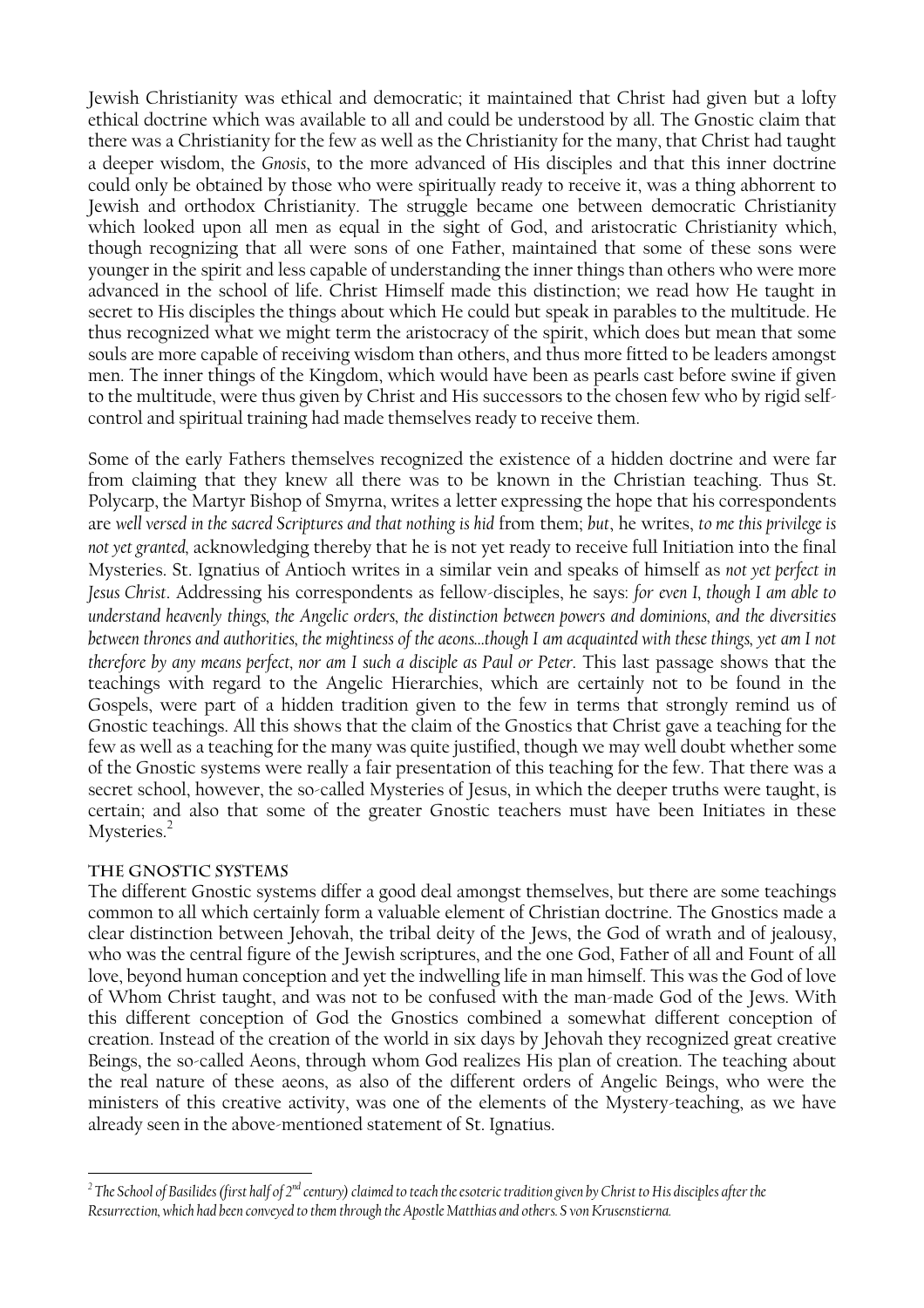Jewish Christianity was ethical and democratic; it maintained that Christ had given but a lofty ethical doctrine which was available to all and could be understood by all. The Gnostic claim that there was a Christianity for the few as well as the Christianity for the many, that Christ had taught a deeper wisdom, the *Gnosis*, to the more advanced of His disciples and that this inner doctrine could only be obtained by those who were spiritually ready to receive it, was a thing abhorrent to Jewish and orthodox Christianity. The struggle became one between democratic Christianity which looked upon all men as equal in the sight of God, and aristocratic Christianity which, though recognizing that all were sons of one Father, maintained that some of these sons were younger in the spirit and less capable of understanding the inner things than others who were more advanced in the school of life. Christ Himself made this distinction; we read how He taught in secret to His disciples the things about which He could but speak in parables to the multitude. He thus recognized what we might term the aristocracy of the spirit, which does but mean that some souls are more capable of receiving wisdom than others, and thus more fitted to be leaders amongst men. The inner things of the Kingdom, which would have been as pearls cast before swine if given to the multitude, were thus given by Christ and His successors to the chosen few who by rigid selfcontrol and spiritual training had made themselves ready to receive them.

Some of the early Fathers themselves recognized the existence of a hidden doctrine and were far from claiming that they knew all there was to be known in the Christian teaching. Thus St. Polycarp, the Martyr Bishop of Smyrna, writes a letter expressing the hope that his correspondents are *well versed in the sacred Scriptures and that nothing is hid* from them; *but*, he writes, *to me this privilege is not yet granted,* acknowledging thereby that he is not yet ready to receive full Initiation into the final Mysteries. St. Ignatius of Antioch writes in a similar vein and speaks of himself as *not yet perfect in Jesus Christ*. Addressing his correspondents as fellow-disciples, he says: *for even I, though I am able to understand heavenly things, the Angelic orders, the distinction between powers and dominions, and the diversities between thrones and authorities, the mightiness of the aeons…though I am acquainted with these things, yet am I not therefore by any means perfect, nor am I such a disciple as Paul or Peter*. This last passage shows that the teachings with regard to the Angelic Hierarchies, which are certainly not to be found in the Gospels, were part of a hidden tradition given to the few in terms that strongly remind us of Gnostic teachings. All this shows that the claim of the Gnostics that Christ gave a teaching for the few as well as a teaching for the many was quite justified, though we may well doubt whether some of the Gnostic systems were really a fair presentation of this teaching for the few. That there was a secret school, however, the so-called Mysteries of Jesus, in which the deeper truths were taught, is certain; and also that some of the greater Gnostic teachers must have been Initiates in these Mysteries.<sup>[2](#page-19-0)</sup>

#### **The Gnostic Systems**

The different Gnostic systems differ a good deal amongst themselves, but there are some teachings common to all which certainly form a valuable element of Christian doctrine. The Gnostics made a clear distinction between Jehovah, the tribal deity of the Jews, the God of wrath and of jealousy, who was the central figure of the Jewish scriptures, and the one God, Father of all and Fount of all love, beyond human conception and yet the indwelling life in man himself. This was the God of love of Whom Christ taught, and was not to be confused with the man-made God of the Jews. With this different conception of God the Gnostics combined a somewhat different conception of creation. Instead of the creation of the world in six days by Jehovah they recognized great creative Beings, the so-called Aeons, through whom God realizes His plan of creation. The teaching about the real nature of these aeons, as also of the different orders of Angelic Beings, who were the ministers of this creative activity, was one of the elements of the Mystery-teaching, as we have already seen in the above-mentioned statement of St. Ignatius.

<span id="page-19-0"></span> *2 The School of Basilides (first half of 2nd century) claimed to teach the esoteric tradition given by Christ to His disciples after the Resurrection, which had been conveyed to them through the Apostle Matthias and others. S von Krusenstierna.*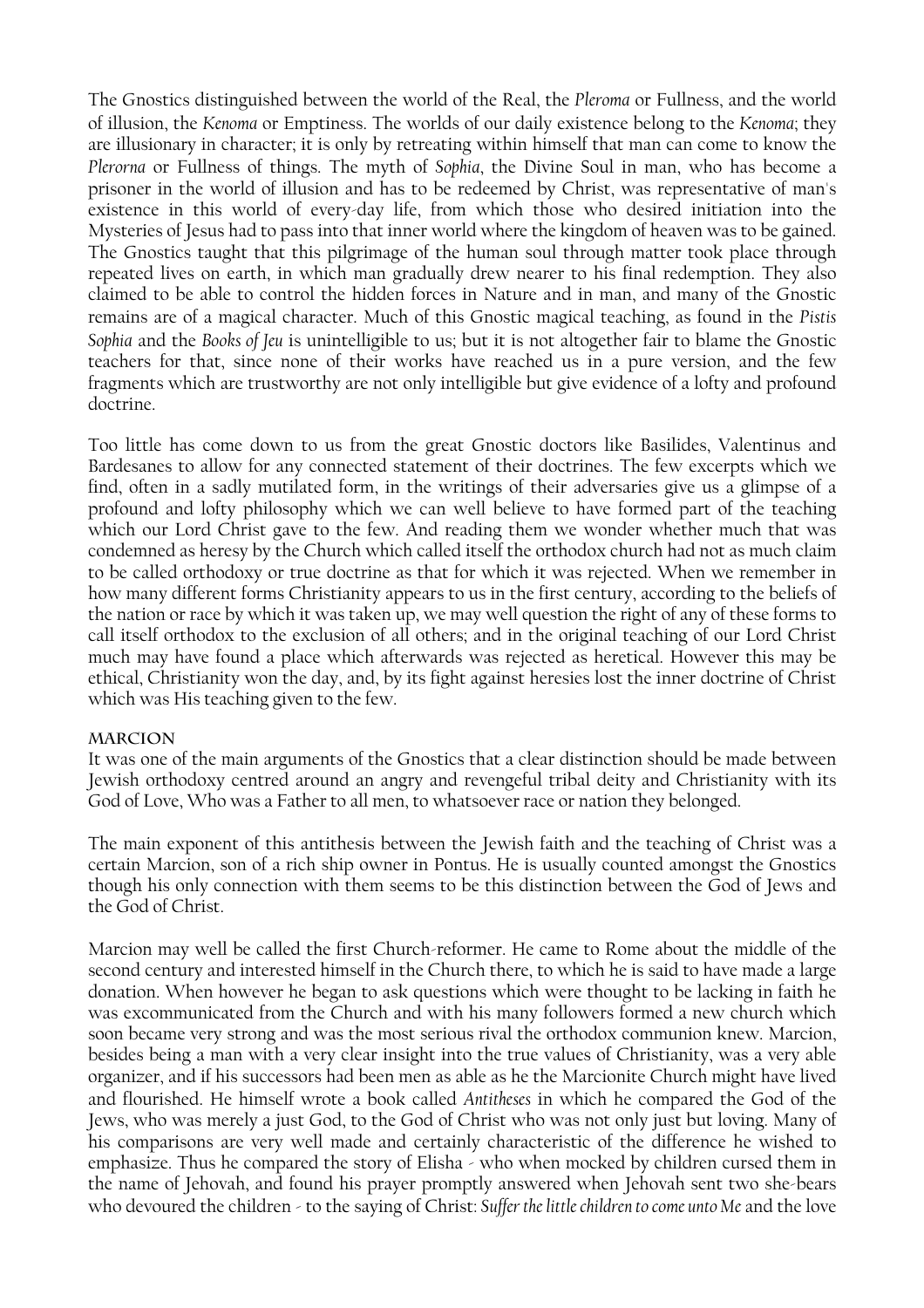The Gnostics distinguished between the world of the Real, the *Pleroma* or Fullness, and the world of illusion, the *Kenoma* or Emptiness. The worlds of our daily existence belong to the *Kenoma*; they are illusionary in character; it is only by retreating within himself that man can come to know the *Plerorna* or Fullness of things. The myth of *Sophia*, the Divine Soul in man, who has become a prisoner in the world of illusion and has to be redeemed by Christ, was representative of man's existence in this world of every-day life, from which those who desired initiation into the Mysteries of Jesus had to pass into that inner world where the kingdom of heaven was to be gained. The Gnostics taught that this pilgrimage of the human soul through matter took place through repeated lives on earth, in which man gradually drew nearer to his final redemption. They also claimed to be able to control the hidden forces in Nature and in man, and many of the Gnostic remains are of a magical character. Much of this Gnostic magical teaching, as found in the *Pistis Sophia* and the *Books of Jeu* is unintelligible to us; but it is not altogether fair to blame the Gnostic teachers for that, since none of their works have reached us in a pure version, and the few fragments which are trustworthy are not only intelligible but give evidence of a lofty and profound doctrine.

Too little has come down to us from the great Gnostic doctors like Basilides, Valentinus and Bardesanes to allow for any connected statement of their doctrines. The few excerpts which we find, often in a sadly mutilated form, in the writings of their adversaries give us a glimpse of a profound and lofty philosophy which we can well believe to have formed part of the teaching which our Lord Christ gave to the few. And reading them we wonder whether much that was condemned as heresy by the Church which called itself the orthodox church had not as much claim to be called orthodoxy or true doctrine as that for which it was rejected. When we remember in how many different forms Christianity appears to us in the first century, according to the beliefs of the nation or race by which it was taken up, we may well question the right of any of these forms to call itself orthodox to the exclusion of all others; and in the original teaching of our Lord Christ much may have found a place which afterwards was rejected as heretical. However this may be ethical, Christianity won the day, and, by its fight against heresies lost the inner doctrine of Christ which was His teaching given to the few.

#### **Marcion**

It was one of the main arguments of the Gnostics that a clear distinction should be made between Jewish orthodoxy centred around an angry and revengeful tribal deity and Christianity with its God of Love, Who was a Father to all men, to whatsoever race or nation they belonged.

The main exponent of this antithesis between the Jewish faith and the teaching of Christ was a certain Marcion, son of a rich ship owner in Pontus. He is usually counted amongst the Gnostics though his only connection with them seems to be this distinction between the God of Jews and the God of Christ.

Marcion may well be called the first Church-reformer. He came to Rome about the middle of the second century and interested himself in the Church there, to which he is said to have made a large donation. When however he began to ask questions which were thought to be lacking in faith he was excommunicated from the Church and with his many followers formed a new church which soon became very strong and was the most serious rival the orthodox communion knew. Marcion, besides being a man with a very clear insight into the true values of Christianity, was a very able organizer, and if his successors had been men as able as he the Marcionite Church might have lived and flourished. He himself wrote a book called *Antitheses* in which he compared the God of the Jews, who was merely a just God, to the God of Christ who was not only just but loving. Many of his comparisons are very well made and certainly characteristic of the difference he wished to emphasize. Thus he compared the story of Elisha - who when mocked by children cursed them in the name of Jehovah, and found his prayer promptly answered when Jehovah sent two she-bears who devoured the children - to the saying of Christ: *Suffer the little children to come unto Me* and the love